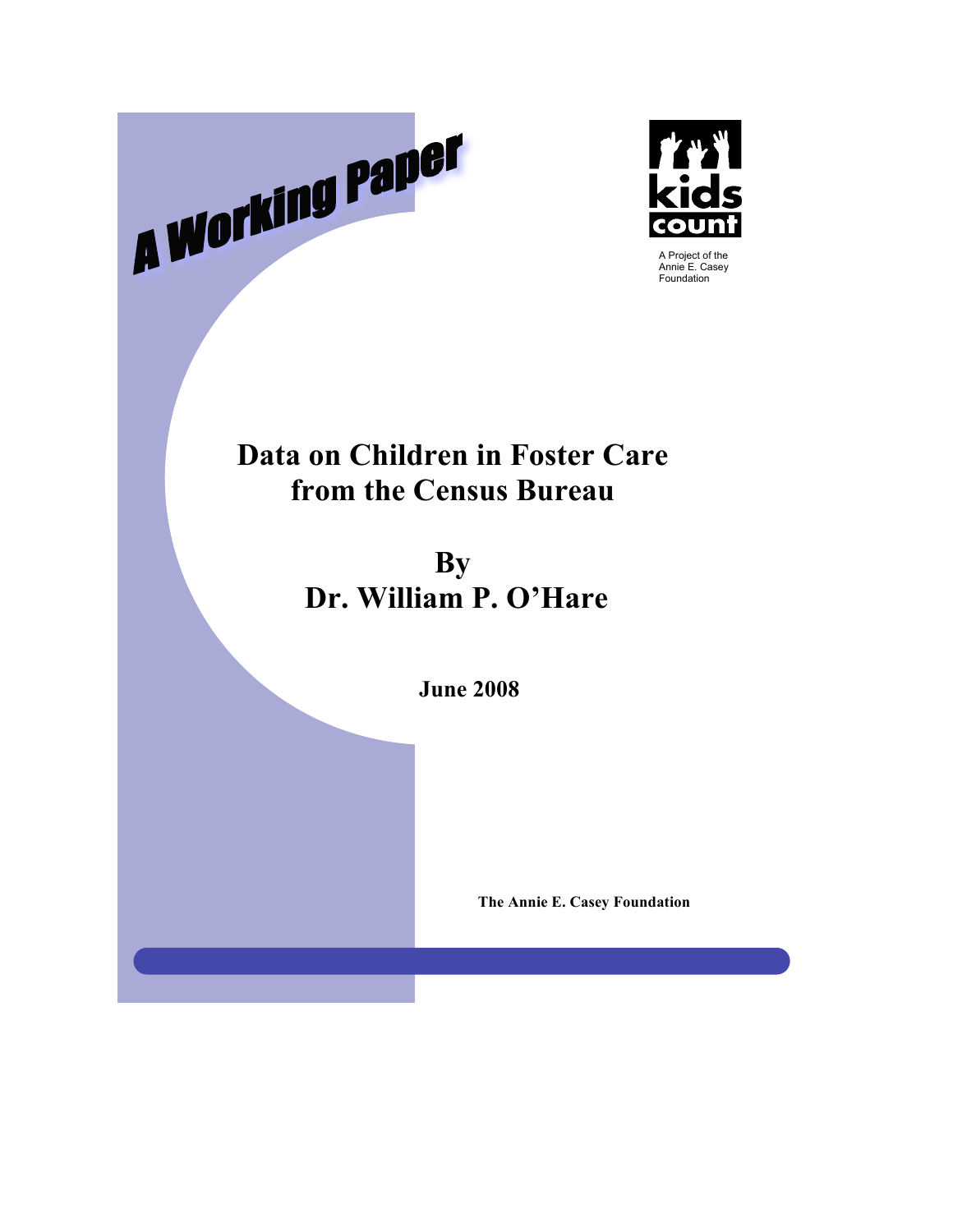



## **Data on Children in Foster Care from the Census Bureau**

**By Dr. William P. O'Hare**

**June 2008**

**The Annie E. Casey Foundation**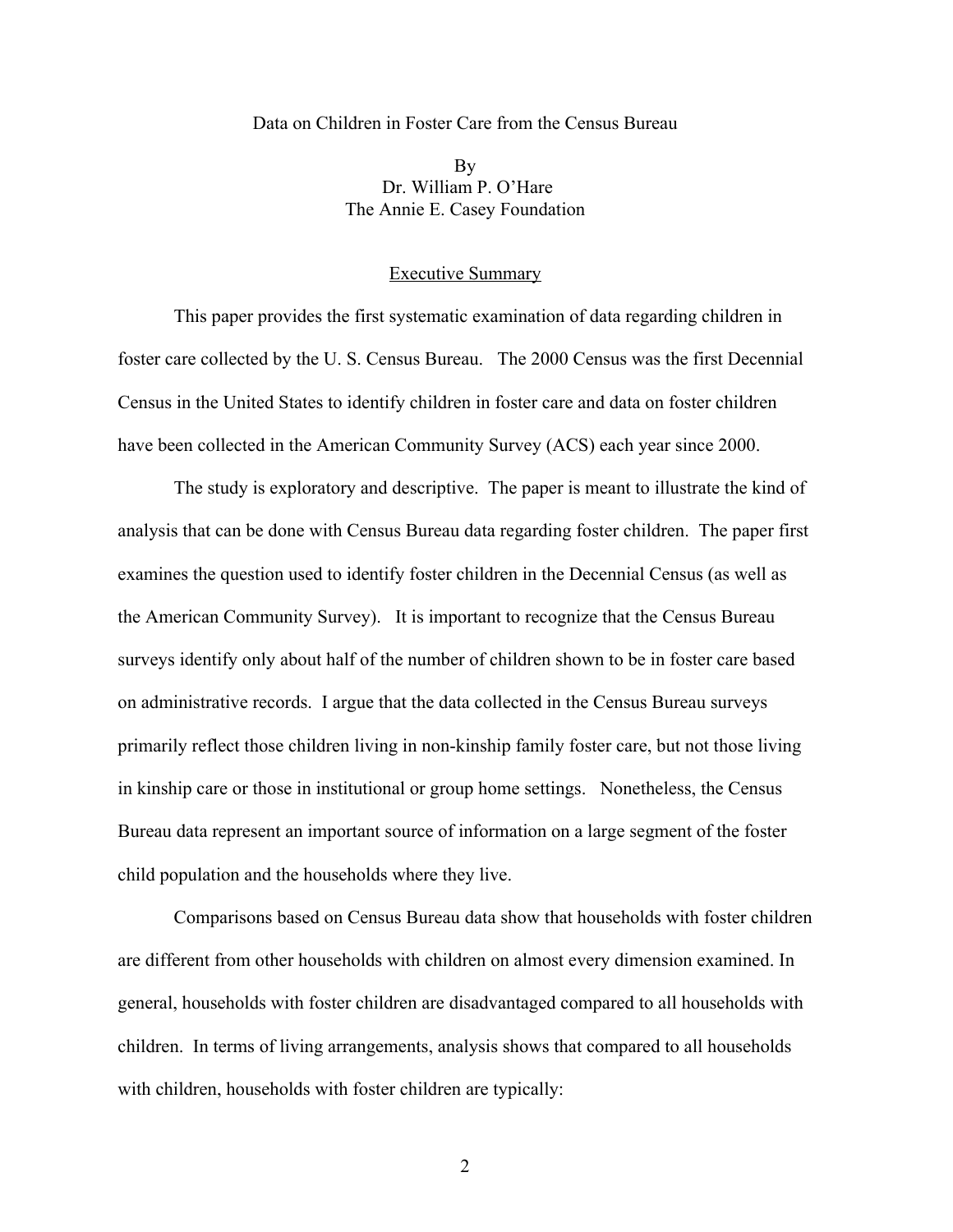#### Data on Children in Foster Care from the Census Bureau

By Dr. William P. O'Hare The Annie E. Casey Foundation

## Executive Summary

This paper provides the first systematic examination of data regarding children in foster care collected by the U. S. Census Bureau. The 2000 Census was the first Decennial Census in the United States to identify children in foster care and data on foster children have been collected in the American Community Survey (ACS) each year since 2000.

The study is exploratory and descriptive. The paper is meant to illustrate the kind of analysis that can be done with Census Bureau data regarding foster children. The paper first examines the question used to identify foster children in the Decennial Census (as well as the American Community Survey). It is important to recognize that the Census Bureau surveys identify only about half of the number of children shown to be in foster care based on administrative records. I argue that the data collected in the Census Bureau surveys primarily reflect those children living in non-kinship family foster care, but not those living in kinship care or those in institutional or group home settings. Nonetheless, the Census Bureau data represent an important source of information on a large segment of the foster child population and the households where they live.

Comparisons based on Census Bureau data show that households with foster children are different from other households with children on almost every dimension examined. In general, households with foster children are disadvantaged compared to all households with children. In terms of living arrangements, analysis shows that compared to all households with children, households with foster children are typically: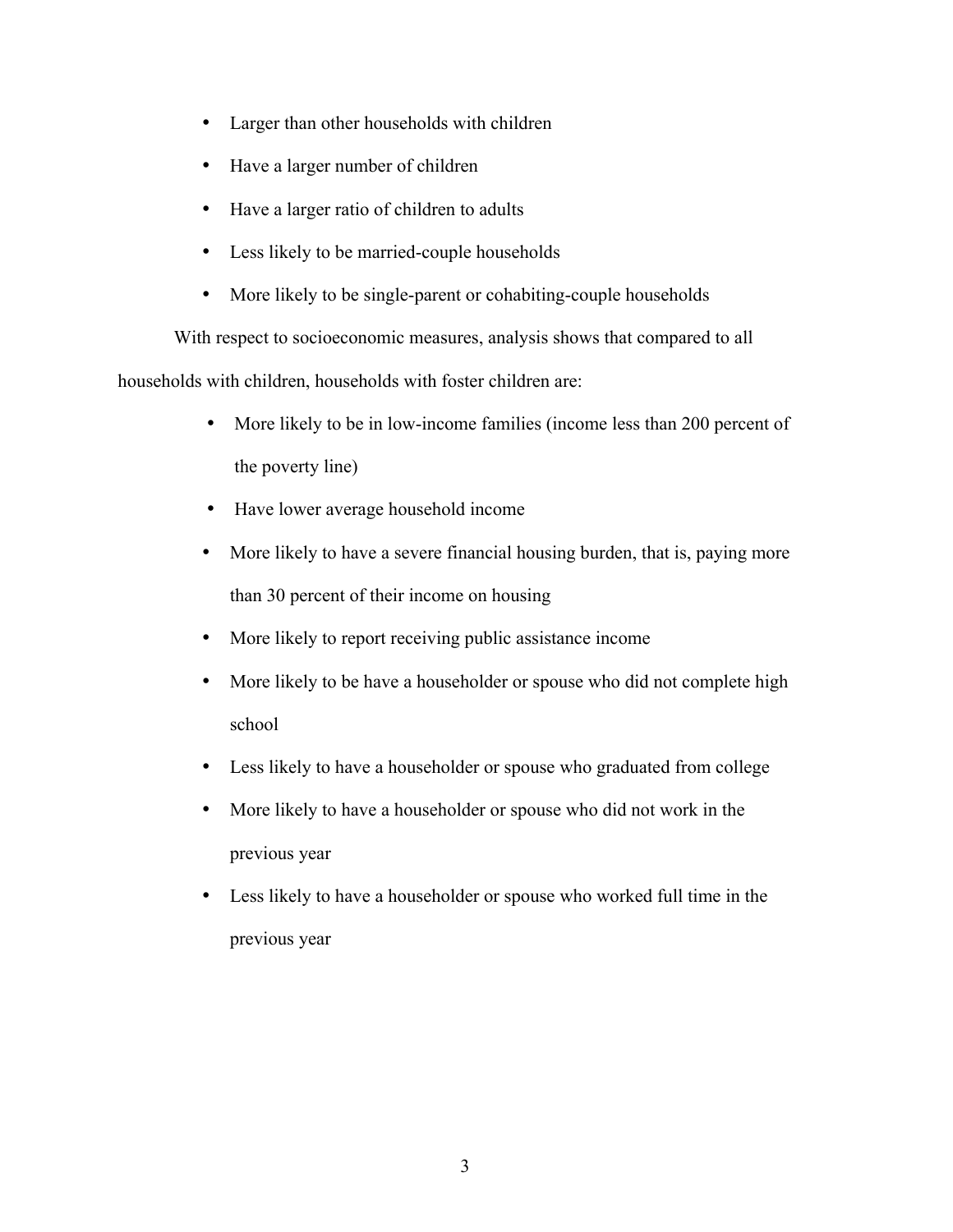- Larger than other households with children
- Have a larger number of children
- Have a larger ratio of children to adults
- Less likely to be married-couple households
- More likely to be single-parent or cohabiting-couple households

With respect to socioeconomic measures, analysis shows that compared to all households with children, households with foster children are:

- More likely to be in low-income families (income less than 200 percent of the poverty line)
- Have lower average household income
- More likely to have a severe financial housing burden, that is, paying more than 30 percent of their income on housing
- More likely to report receiving public assistance income
- More likely to be have a householder or spouse who did not complete high school
- Less likely to have a householder or spouse who graduated from college
- More likely to have a householder or spouse who did not work in the previous year
- Less likely to have a householder or spouse who worked full time in the previous year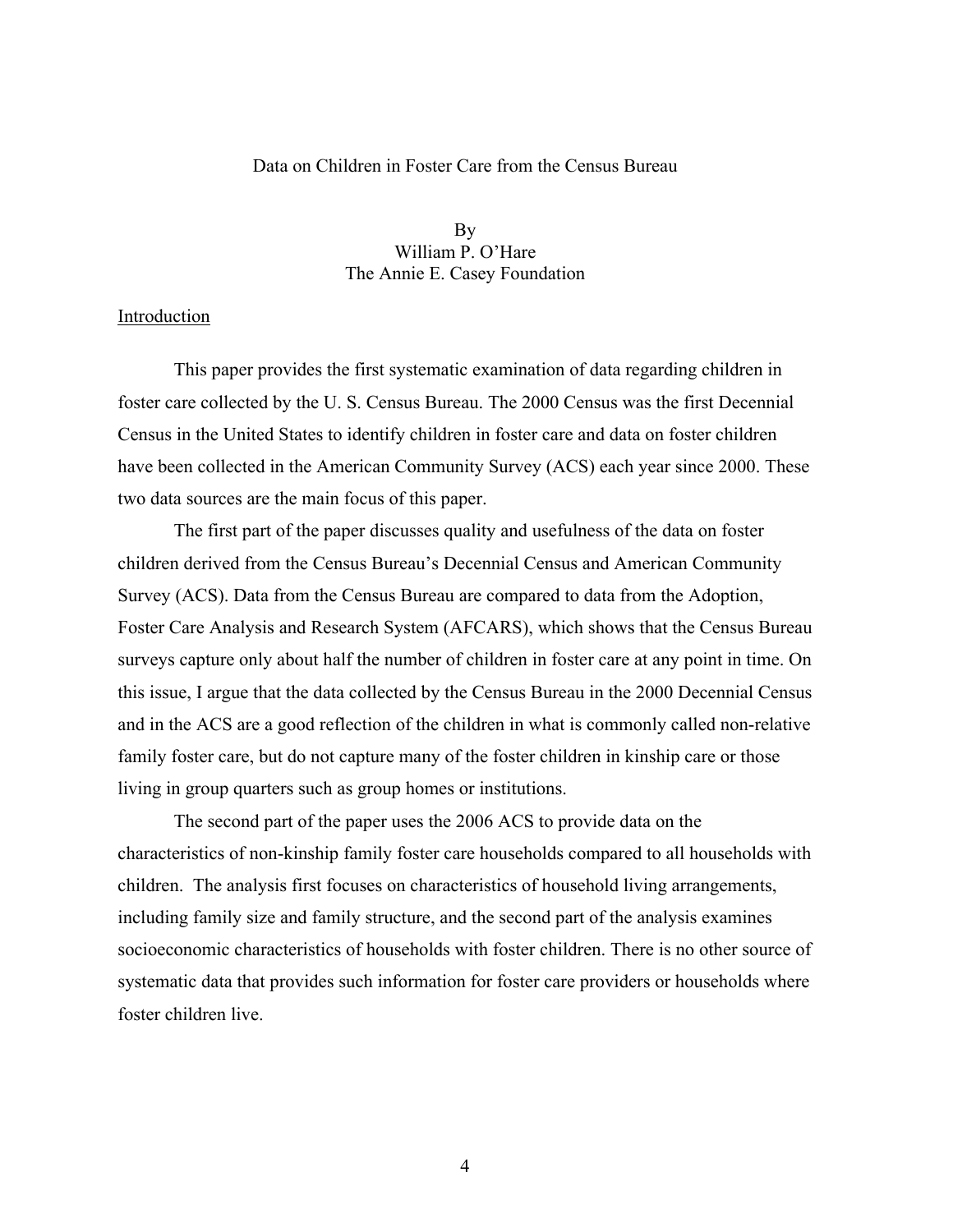## Data on Children in Foster Care from the Census Bureau

By William P. O'Hare The Annie E. Casey Foundation

## Introduction

This paper provides the first systematic examination of data regarding children in foster care collected by the U. S. Census Bureau. The 2000 Census was the first Decennial Census in the United States to identify children in foster care and data on foster children have been collected in the American Community Survey (ACS) each year since 2000. These two data sources are the main focus of this paper.

The first part of the paper discusses quality and usefulness of the data on foster children derived from the Census Bureau's Decennial Census and American Community Survey (ACS). Data from the Census Bureau are compared to data from the Adoption, Foster Care Analysis and Research System (AFCARS), which shows that the Census Bureau surveys capture only about half the number of children in foster care at any point in time. On this issue, I argue that the data collected by the Census Bureau in the 2000 Decennial Census and in the ACS are a good reflection of the children in what is commonly called non-relative family foster care, but do not capture many of the foster children in kinship care or those living in group quarters such as group homes or institutions.

The second part of the paper uses the 2006 ACS to provide data on the characteristics of non-kinship family foster care households compared to all households with children. The analysis first focuses on characteristics of household living arrangements, including family size and family structure, and the second part of the analysis examines socioeconomic characteristics of households with foster children. There is no other source of systematic data that provides such information for foster care providers or households where foster children live.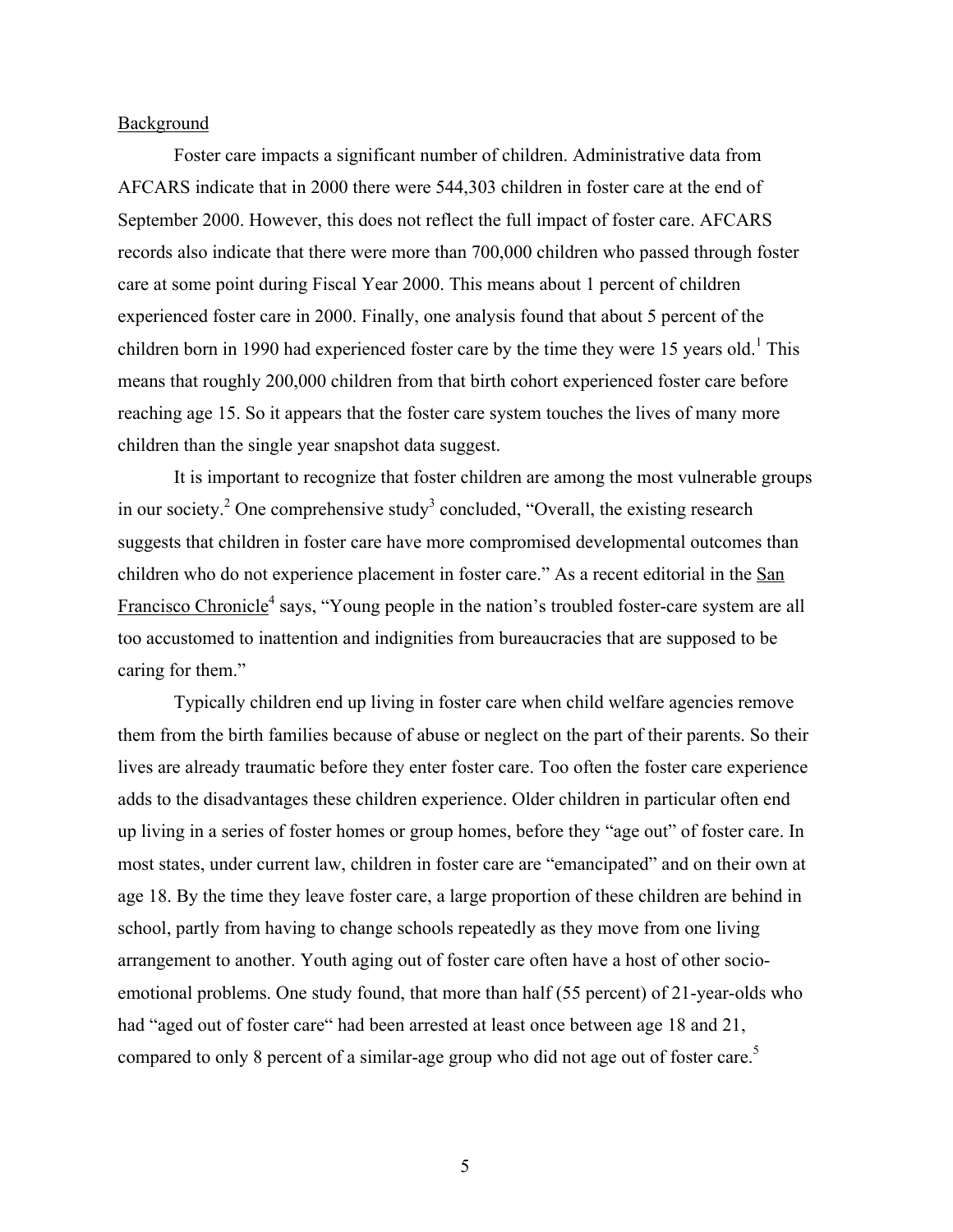#### Background

Foster care impacts a significant number of children. Administrative data from AFCARS indicate that in 2000 there were 544,303 children in foster care at the end of September 2000. However, this does not reflect the full impact of foster care. AFCARS records also indicate that there were more than 700,000 children who passed through foster care at some point during Fiscal Year 2000. This means about 1 percent of children experienced foster care in 2000. Finally, one analysis found that about 5 percent of the children born in 1990 had experienced foster care by the time they were 15 years old.<sup>1</sup> This means that roughly 200,000 children from that birth cohort experienced foster care before reaching age 15. So it appears that the foster care system touches the lives of many more children than the single year snapshot data suggest.

It is important to recognize that foster children are among the most vulnerable groups in our society.<sup>2</sup> One comprehensive study<sup>3</sup> concluded, "Overall, the existing research suggests that children in foster care have more compromised developmental outcomes than children who do not experience placement in foster care." As a recent editorial in the San Francisco Chronicle<sup>4</sup> says, "Young people in the nation's troubled foster-care system are all too accustomed to inattention and indignities from bureaucracies that are supposed to be caring for them."

Typically children end up living in foster care when child welfare agencies remove them from the birth families because of abuse or neglect on the part of their parents. So their lives are already traumatic before they enter foster care. Too often the foster care experience adds to the disadvantages these children experience. Older children in particular often end up living in a series of foster homes or group homes, before they "age out" of foster care. In most states, under current law, children in foster care are "emancipated" and on their own at age 18. By the time they leave foster care, a large proportion of these children are behind in school, partly from having to change schools repeatedly as they move from one living arrangement to another. Youth aging out of foster care often have a host of other socioemotional problems. One study found, that more than half (55 percent) of 21-year-olds who had "aged out of foster care" had been arrested at least once between age 18 and 21, compared to only 8 percent of a similar-age group who did not age out of foster care.<sup>5</sup>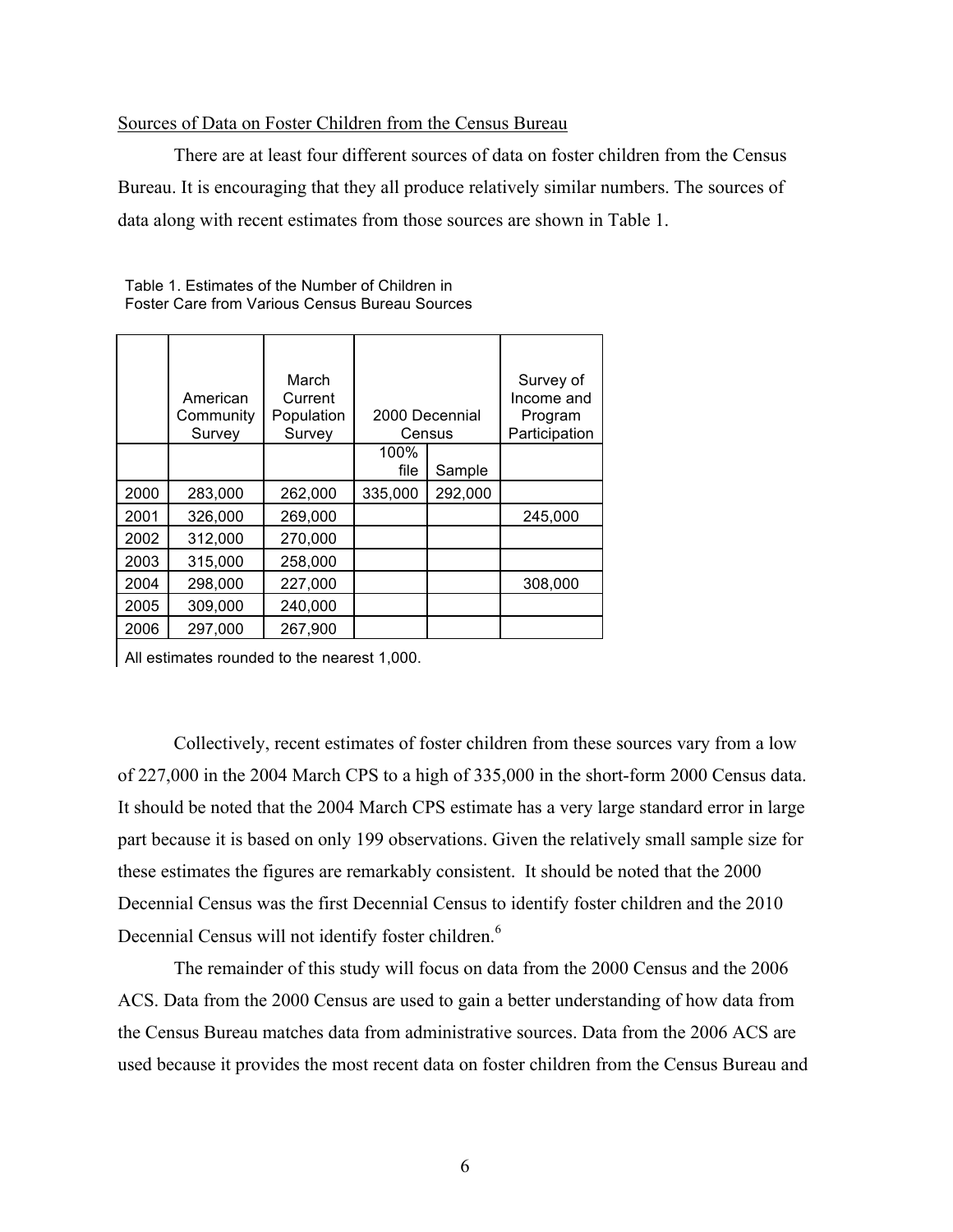## Sources of Data on Foster Children from the Census Bureau

There are at least four different sources of data on foster children from the Census Bureau. It is encouraging that they all produce relatively similar numbers. The sources of data along with recent estimates from those sources are shown in Table 1.

|      | American<br>Community<br>Survey | March<br>Current<br>Population<br>Survey |              | 2000 Decennial<br>Census | Survey of<br>Income and<br>Program<br>Participation |
|------|---------------------------------|------------------------------------------|--------------|--------------------------|-----------------------------------------------------|
|      |                                 |                                          | 100%<br>file | Sample                   |                                                     |
| 2000 | 283,000                         | 262,000                                  | 335,000      | 292,000                  |                                                     |
| 2001 | 326,000                         | 269,000                                  |              |                          | 245,000                                             |
| 2002 | 312,000                         | 270,000                                  |              |                          |                                                     |
| 2003 | 315,000                         | 258,000                                  |              |                          |                                                     |
| 2004 | 298,000                         | 227,000                                  |              |                          | 308,000                                             |
| 2005 | 309,000                         | 240,000                                  |              |                          |                                                     |
| 2006 | 297,000                         | 267,900                                  |              |                          |                                                     |

Table 1. Estimates of the Number of Children in Foster Care from Various Census Bureau Sources

All estimates rounded to the nearest 1,000.

Collectively, recent estimates of foster children from these sources vary from a low of 227,000 in the 2004 March CPS to a high of 335,000 in the short-form 2000 Census data. It should be noted that the 2004 March CPS estimate has a very large standard error in large part because it is based on only 199 observations. Given the relatively small sample size for these estimates the figures are remarkably consistent. It should be noted that the 2000 Decennial Census was the first Decennial Census to identify foster children and the 2010 Decennial Census will not identify foster children.<sup>6</sup>

The remainder of this study will focus on data from the 2000 Census and the 2006 ACS. Data from the 2000 Census are used to gain a better understanding of how data from the Census Bureau matches data from administrative sources. Data from the 2006 ACS are used because it provides the most recent data on foster children from the Census Bureau and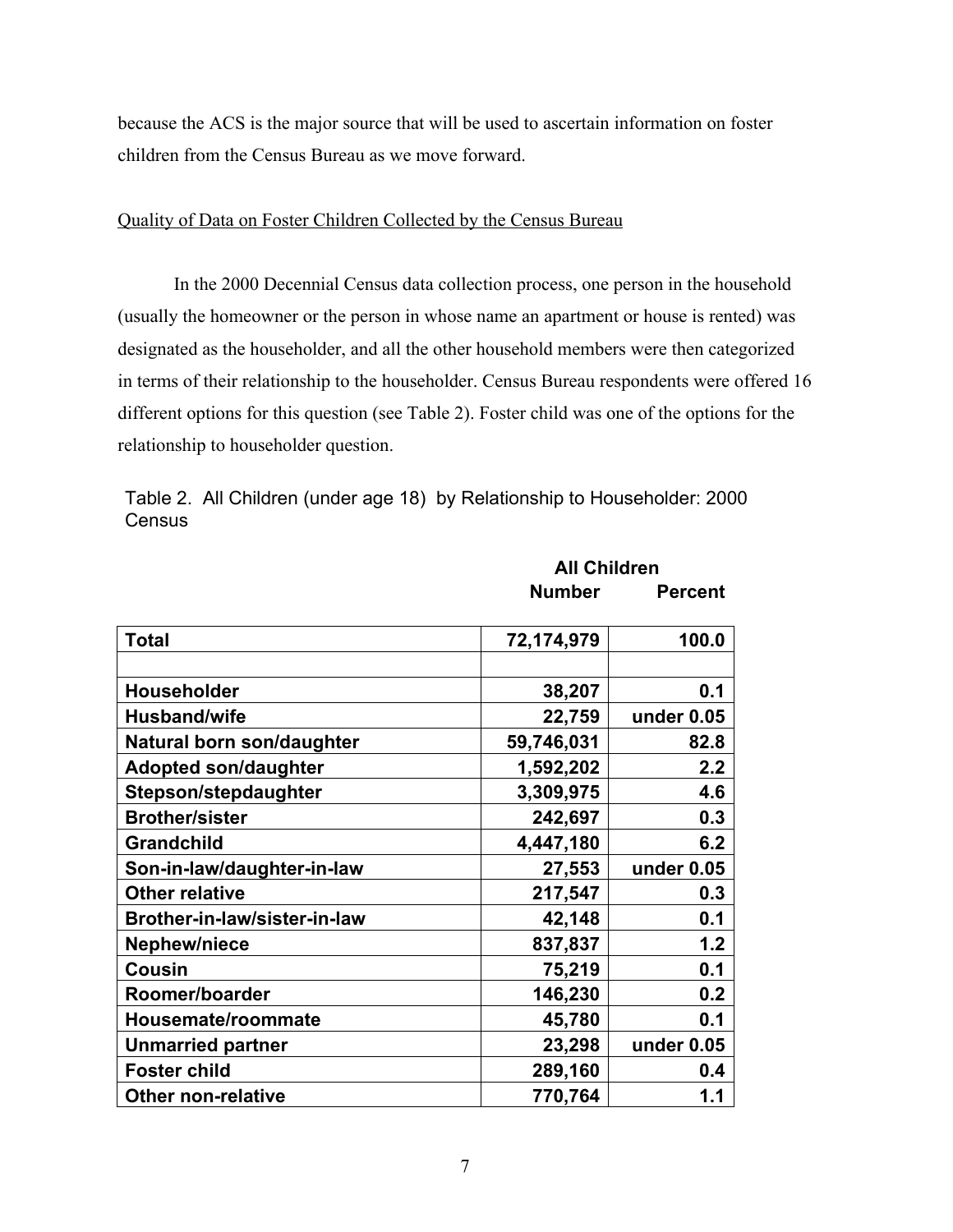because the ACS is the major source that will be used to ascertain information on foster children from the Census Bureau as we move forward.

## Quality of Data on Foster Children Collected by the Census Bureau

In the 2000 Decennial Census data collection process, one person in the household (usually the homeowner or the person in whose name an apartment or house is rented) was designated as the householder, and all the other household members were then categorized in terms of their relationship to the householder. Census Bureau respondents were offered 16 different options for this question (see Table 2). Foster child was one of the options for the relationship to householder question.

**All Children**

|        | Table 2. All Children (under age 18) by Relationship to Householder: 2000 |
|--------|---------------------------------------------------------------------------|
| Census |                                                                           |

|                              | <b>Number</b> | <b>Percent</b> |
|------------------------------|---------------|----------------|
| <b>Total</b>                 | 72,174,979    | 100.0          |
|                              |               |                |
| Householder                  | 38,207        | 0.1            |
| <b>Husband/wife</b>          | 22,759        | under 0.05     |
| Natural born son/daughter    | 59,746,031    | 82.8           |
| <b>Adopted son/daughter</b>  | 1,592,202     | 2.2            |
| Stepson/stepdaughter         | 3,309,975     | 4.6            |
| <b>Brother/sister</b>        | 242,697       | 0.3            |
| <b>Grandchild</b>            | 4,447,180     | 6.2            |
| Son-in-law/daughter-in-law   | 27,553        | under 0.05     |
| <b>Other relative</b>        | 217,547       | 0.3            |
| Brother-in-law/sister-in-law | 42,148        | 0.1            |
| <b>Nephew/niece</b>          | 837,837       | 1.2            |
| Cousin                       | 75,219        | 0.1            |
| Roomer/boarder               | 146,230       | 0.2            |
| Housemate/roommate           | 45,780        | 0.1            |
| <b>Unmarried partner</b>     | 23,298        | under 0.05     |
| <b>Foster child</b>          | 289,160       | 0.4            |
| <b>Other non-relative</b>    | 770,764       | 1.1            |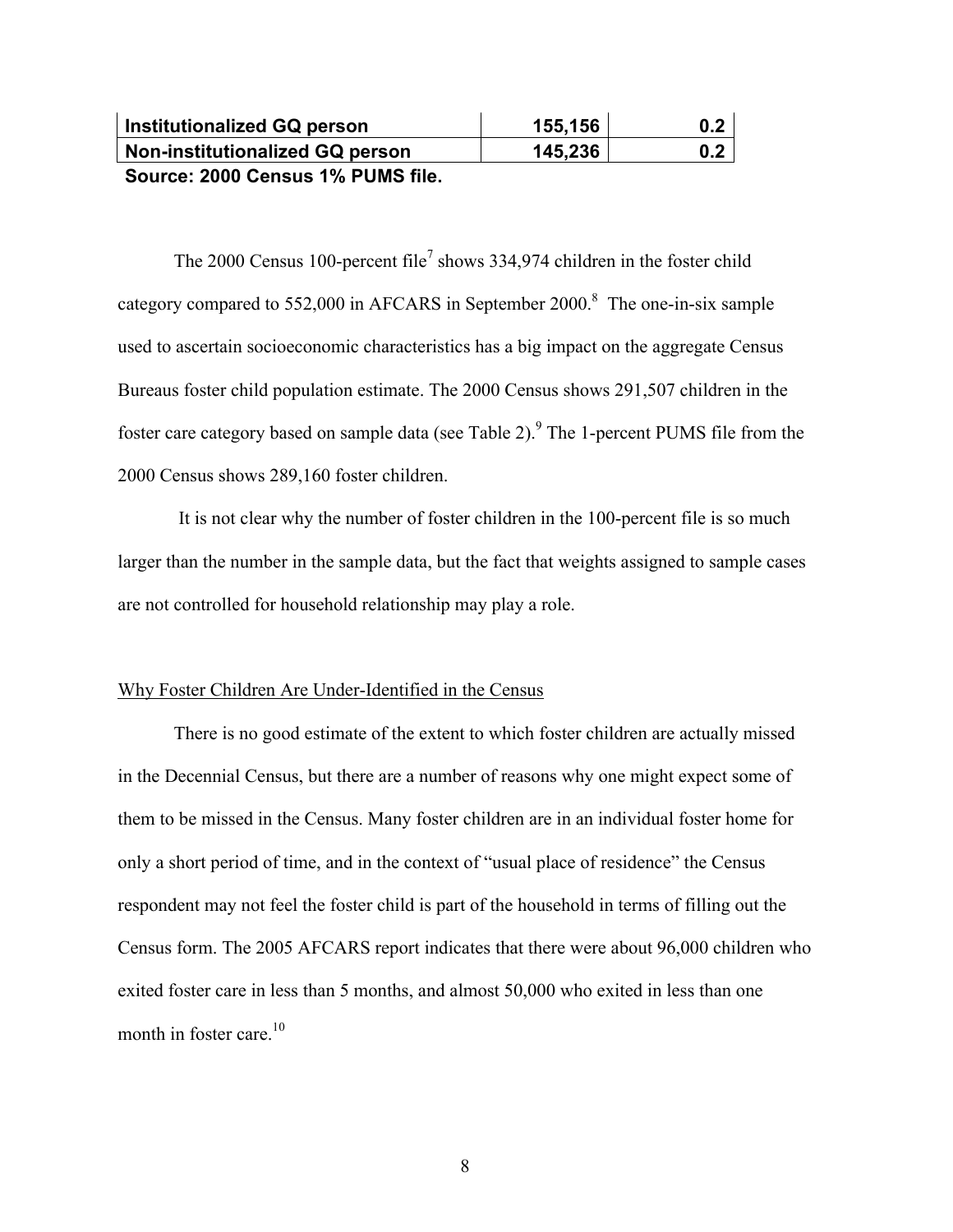| <b>Institutionalized GQ person</b> | 155,156 | 0.2 |
|------------------------------------|---------|-----|
| Non-institutionalized GQ person    | 145,236 | 0.2 |
| Course 2000 Conque 40/ DUMC file   |         |     |

**Source: 2000 Census 1% PUMS file.**

The 2000 Census 100-percent file<sup>7</sup> shows 334,974 children in the foster child category compared to 552,000 in AFCARS in September 2000.<sup>8</sup> The one-in-six sample used to ascertain socioeconomic characteristics has a big impact on the aggregate Census Bureaus foster child population estimate. The 2000 Census shows 291,507 children in the foster care category based on sample data (see Table 2). $9$  The 1-percent PUMS file from the 2000 Census shows 289,160 foster children.

 It is not clear why the number of foster children in the 100-percent file is so much larger than the number in the sample data, but the fact that weights assigned to sample cases are not controlled for household relationship may play a role.

## Why Foster Children Are Under-Identified in the Census

There is no good estimate of the extent to which foster children are actually missed in the Decennial Census, but there are a number of reasons why one might expect some of them to be missed in the Census. Many foster children are in an individual foster home for only a short period of time, and in the context of "usual place of residence" the Census respondent may not feel the foster child is part of the household in terms of filling out the Census form. The 2005 AFCARS report indicates that there were about 96,000 children who exited foster care in less than 5 months, and almost 50,000 who exited in less than one month in foster care.<sup>10</sup>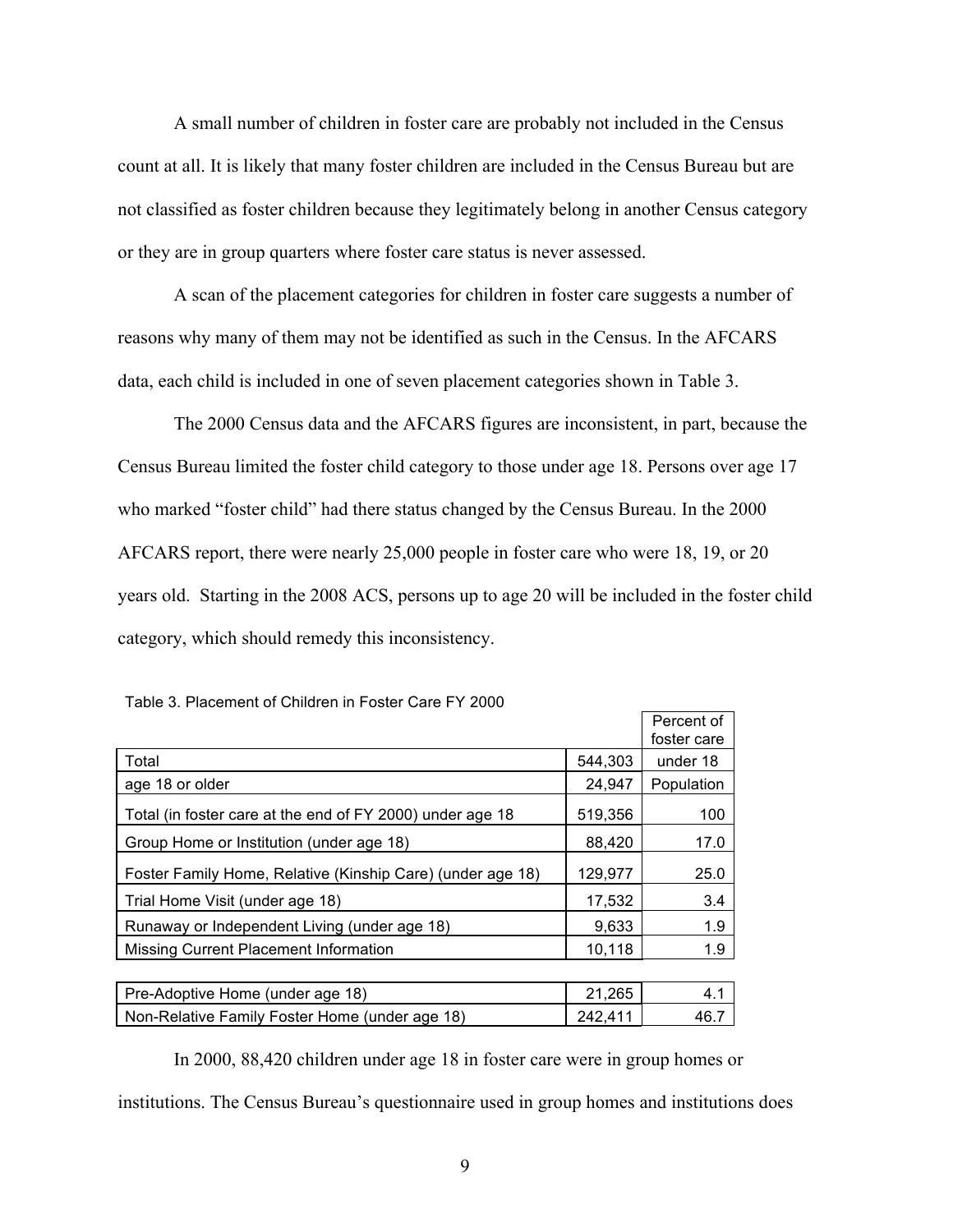A small number of children in foster care are probably not included in the Census count at all. It is likely that many foster children are included in the Census Bureau but are not classified as foster children because they legitimately belong in another Census category or they are in group quarters where foster care status is never assessed.

A scan of the placement categories for children in foster care suggests a number of reasons why many of them may not be identified as such in the Census. In the AFCARS data, each child is included in one of seven placement categories shown in Table 3.

The 2000 Census data and the AFCARS figures are inconsistent, in part, because the Census Bureau limited the foster child category to those under age 18. Persons over age 17 who marked "foster child" had there status changed by the Census Bureau. In the 2000 AFCARS report, there were nearly 25,000 people in foster care who were 18, 19, or 20 years old. Starting in the 2008 ACS, persons up to age 20 will be included in the foster child category, which should remedy this inconsistency.

|                                                            |         | Percent of  |
|------------------------------------------------------------|---------|-------------|
|                                                            |         | foster care |
| Total                                                      | 544,303 | under 18    |
| age 18 or older                                            | 24,947  | Population  |
| Total (in foster care at the end of FY 2000) under age 18  | 519,356 | 100         |
| Group Home or Institution (under age 18)                   | 88,420  | 17.0        |
| Foster Family Home, Relative (Kinship Care) (under age 18) | 129,977 | 25.0        |
| Trial Home Visit (under age 18)                            | 17,532  | 3.4         |
| Runaway or Independent Living (under age 18)               | 9,633   | 1.9         |
| Missing Current Placement Information                      | 10,118  | 1.9         |
|                                                            |         |             |
| Pre-Adoptive Home (under age 18)                           | 21,265  | 4.1         |
| Non-Relative Family Foster Home (under age 18)             | 242,411 | 46.7        |

Table 3. Placement of Children in Foster Care FY 2000

In 2000, 88,420 children under age 18 in foster care were in group homes or institutions. The Census Bureau's questionnaire used in group homes and institutions does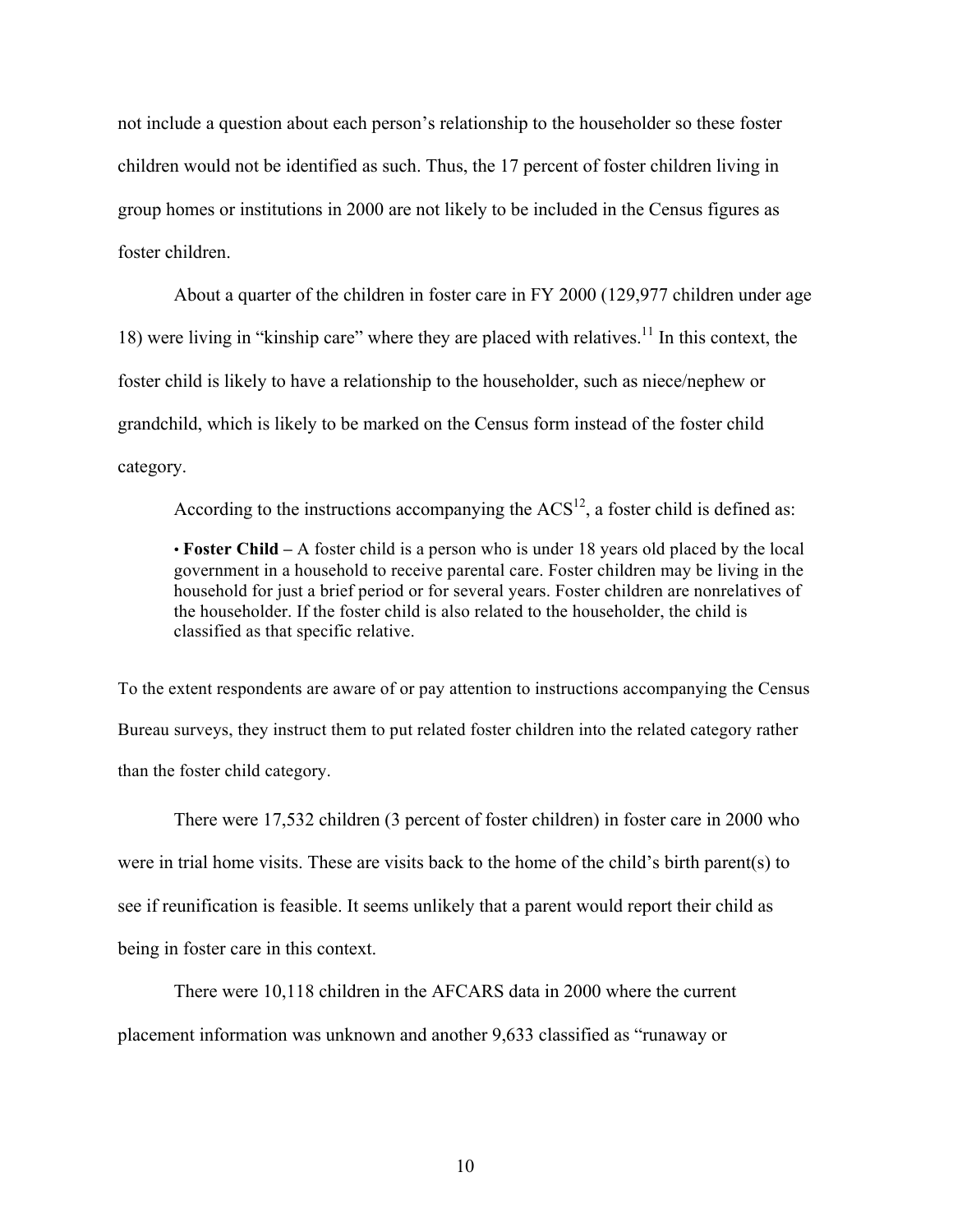not include a question about each person's relationship to the householder so these foster children would not be identified as such. Thus, the 17 percent of foster children living in group homes or institutions in 2000 are not likely to be included in the Census figures as foster children.

About a quarter of the children in foster care in FY 2000 (129,977 children under age 18) were living in "kinship care" where they are placed with relatives.<sup>11</sup> In this context, the foster child is likely to have a relationship to the householder, such as niece/nephew or grandchild, which is likely to be marked on the Census form instead of the foster child category.

According to the instructions accompanying the  $ACS^{12}$ , a foster child is defined as:

• **Foster Child –** A foster child is a person who is under 18 years old placed by the local government in a household to receive parental care. Foster children may be living in the household for just a brief period or for several years. Foster children are nonrelatives of the householder. If the foster child is also related to the householder, the child is classified as that specific relative.

To the extent respondents are aware of or pay attention to instructions accompanying the Census Bureau surveys, they instruct them to put related foster children into the related category rather than the foster child category.

There were 17,532 children (3 percent of foster children) in foster care in 2000 who were in trial home visits. These are visits back to the home of the child's birth parent(s) to see if reunification is feasible. It seems unlikely that a parent would report their child as being in foster care in this context.

There were 10,118 children in the AFCARS data in 2000 where the current placement information was unknown and another 9,633 classified as "runaway or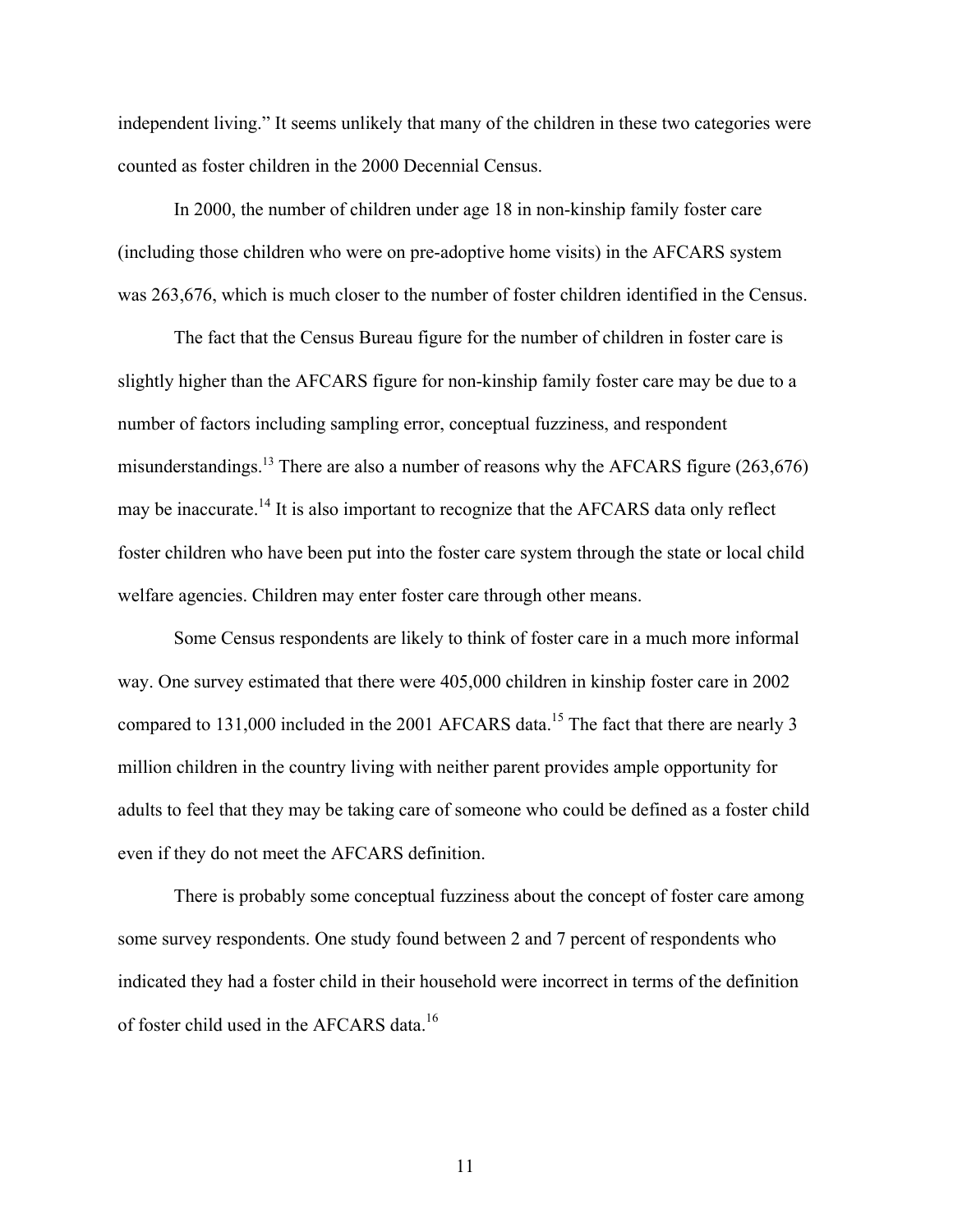independent living." It seems unlikely that many of the children in these two categories were counted as foster children in the 2000 Decennial Census.

In 2000, the number of children under age 18 in non-kinship family foster care (including those children who were on pre-adoptive home visits) in the AFCARS system was 263,676, which is much closer to the number of foster children identified in the Census.

The fact that the Census Bureau figure for the number of children in foster care is slightly higher than the AFCARS figure for non-kinship family foster care may be due to a number of factors including sampling error, conceptual fuzziness, and respondent misunderstandings.<sup>13</sup> There are also a number of reasons why the AFCARS figure (263,676) may be inaccurate.<sup>14</sup> It is also important to recognize that the AFCARS data only reflect foster children who have been put into the foster care system through the state or local child welfare agencies. Children may enter foster care through other means.

Some Census respondents are likely to think of foster care in a much more informal way. One survey estimated that there were 405,000 children in kinship foster care in 2002 compared to 131,000 included in the 2001 AFCARS data.<sup>15</sup> The fact that there are nearly 3 million children in the country living with neither parent provides ample opportunity for adults to feel that they may be taking care of someone who could be defined as a foster child even if they do not meet the AFCARS definition.

There is probably some conceptual fuzziness about the concept of foster care among some survey respondents. One study found between 2 and 7 percent of respondents who indicated they had a foster child in their household were incorrect in terms of the definition of foster child used in the AFCARS data.<sup>16</sup>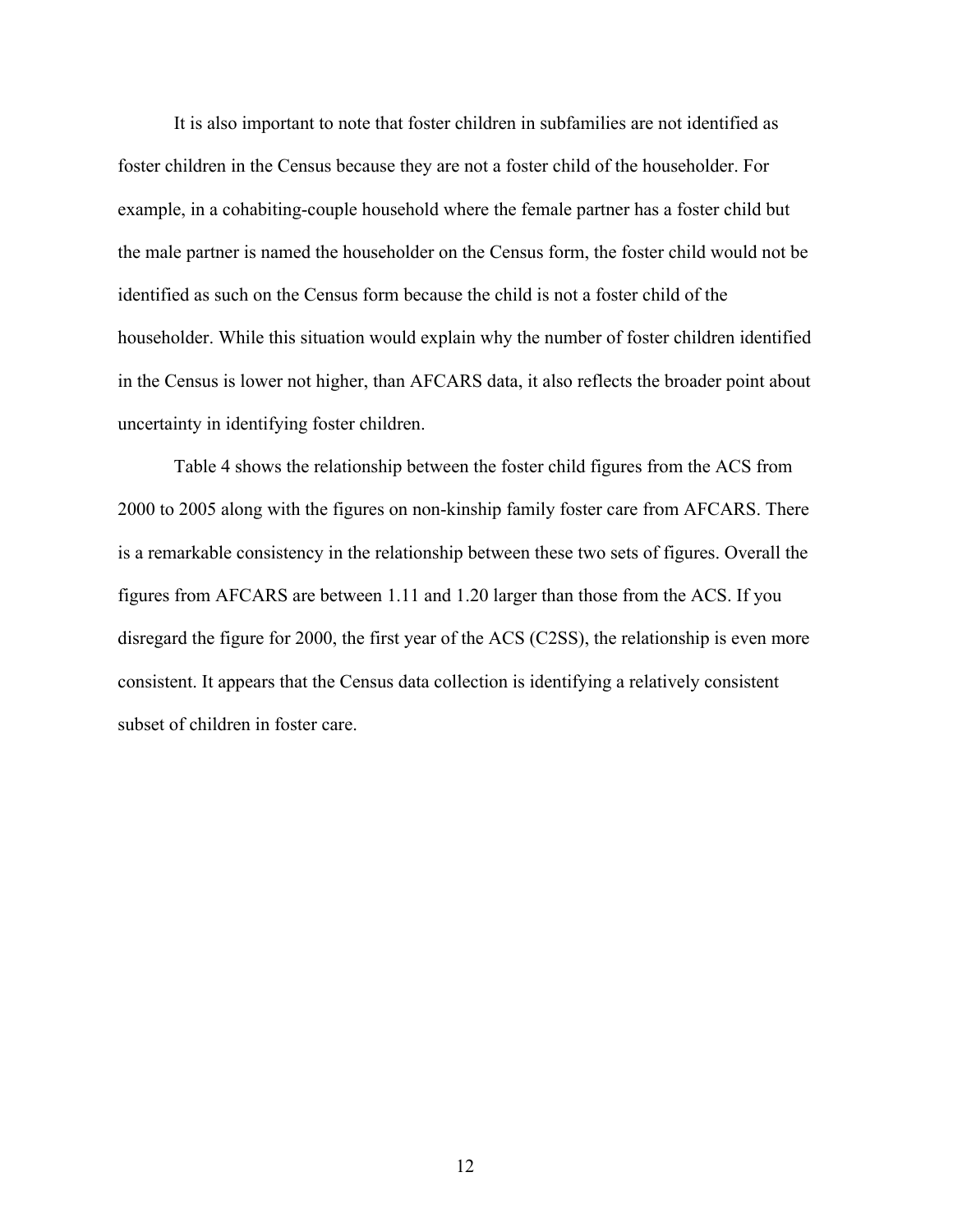It is also important to note that foster children in subfamilies are not identified as foster children in the Census because they are not a foster child of the householder. For example, in a cohabiting-couple household where the female partner has a foster child but the male partner is named the householder on the Census form, the foster child would not be identified as such on the Census form because the child is not a foster child of the householder. While this situation would explain why the number of foster children identified in the Census is lower not higher, than AFCARS data, it also reflects the broader point about uncertainty in identifying foster children.

Table 4 shows the relationship between the foster child figures from the ACS from 2000 to 2005 along with the figures on non-kinship family foster care from AFCARS. There is a remarkable consistency in the relationship between these two sets of figures. Overall the figures from AFCARS are between 1.11 and 1.20 larger than those from the ACS. If you disregard the figure for 2000, the first year of the ACS (C2SS), the relationship is even more consistent. It appears that the Census data collection is identifying a relatively consistent subset of children in foster care.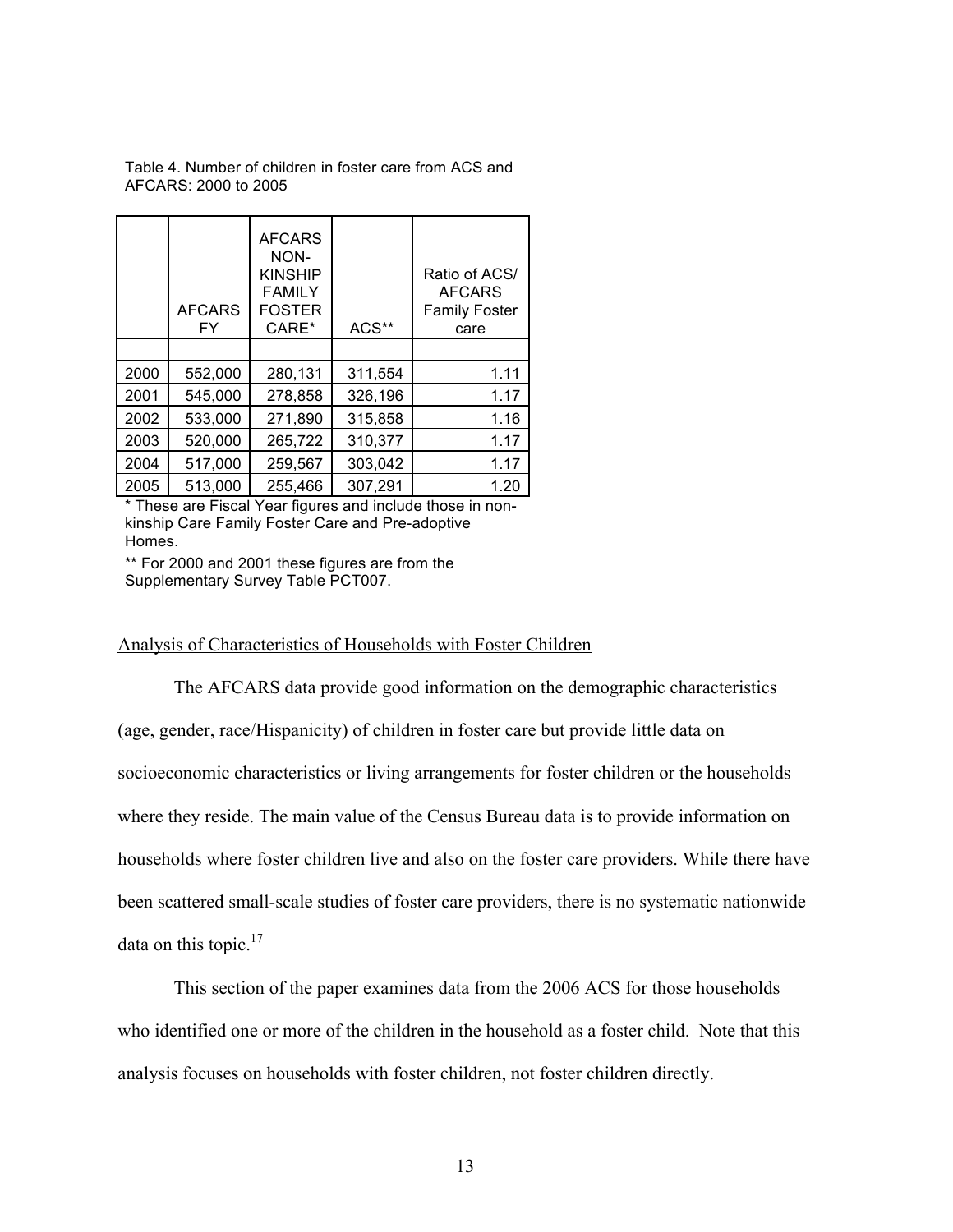Table 4. Number of children in foster care from ACS and AFCARS: 2000 to 2005

|      | <b>AFCARS</b><br>FY | <b>AFCARS</b><br>NON-<br><b>KINSHIP</b><br><b>FAMILY</b><br><b>FOSTER</b><br>CARE* | ACS**   | Ratio of ACS/<br><b>AFCARS</b><br><b>Family Foster</b><br>care |
|------|---------------------|------------------------------------------------------------------------------------|---------|----------------------------------------------------------------|
| 2000 | 552,000             | 280,131                                                                            | 311,554 | 1.11                                                           |
| 2001 | 545,000             | 278,858                                                                            | 326,196 | 1.17                                                           |
| 2002 | 533,000             | 271,890                                                                            | 315,858 | 1.16                                                           |
| 2003 | 520,000             | 265,722                                                                            | 310,377 | 1.17                                                           |
| 2004 | 517,000             | 259,567                                                                            | 303,042 | 1.17                                                           |
| 2005 | 513,000             | 255,466                                                                            | 307,291 | 1.20                                                           |

\* These are Fiscal Year figures and include those in nonkinship Care Family Foster Care and Pre-adoptive Homes.

\*\* For 2000 and 2001 these figures are from the Supplementary Survey Table PCT007.

## Analysis of Characteristics of Households with Foster Children

The AFCARS data provide good information on the demographic characteristics (age, gender, race/Hispanicity) of children in foster care but provide little data on socioeconomic characteristics or living arrangements for foster children or the households where they reside. The main value of the Census Bureau data is to provide information on households where foster children live and also on the foster care providers. While there have been scattered small-scale studies of foster care providers, there is no systematic nationwide data on this topic. $17$ 

This section of the paper examines data from the 2006 ACS for those households who identified one or more of the children in the household as a foster child. Note that this analysis focuses on households with foster children, not foster children directly.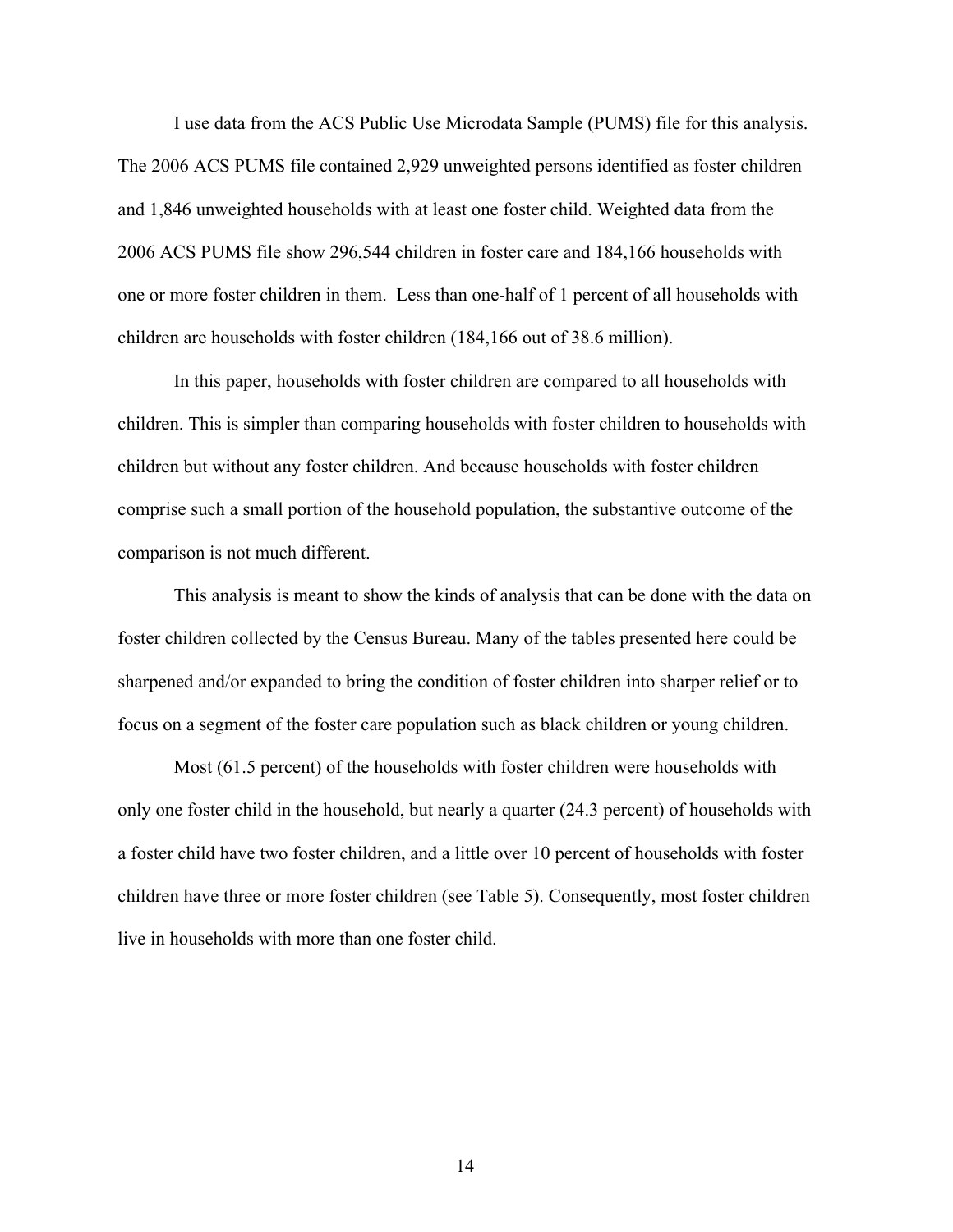I use data from the ACS Public Use Microdata Sample (PUMS) file for this analysis. The 2006 ACS PUMS file contained 2,929 unweighted persons identified as foster children and 1,846 unweighted households with at least one foster child. Weighted data from the 2006 ACS PUMS file show 296,544 children in foster care and 184,166 households with one or more foster children in them. Less than one-half of 1 percent of all households with children are households with foster children (184,166 out of 38.6 million).

In this paper, households with foster children are compared to all households with children. This is simpler than comparing households with foster children to households with children but without any foster children. And because households with foster children comprise such a small portion of the household population, the substantive outcome of the comparison is not much different.

This analysis is meant to show the kinds of analysis that can be done with the data on foster children collected by the Census Bureau. Many of the tables presented here could be sharpened and/or expanded to bring the condition of foster children into sharper relief or to focus on a segment of the foster care population such as black children or young children.

Most (61.5 percent) of the households with foster children were households with only one foster child in the household, but nearly a quarter (24.3 percent) of households with a foster child have two foster children, and a little over 10 percent of households with foster children have three or more foster children (see Table 5). Consequently, most foster children live in households with more than one foster child.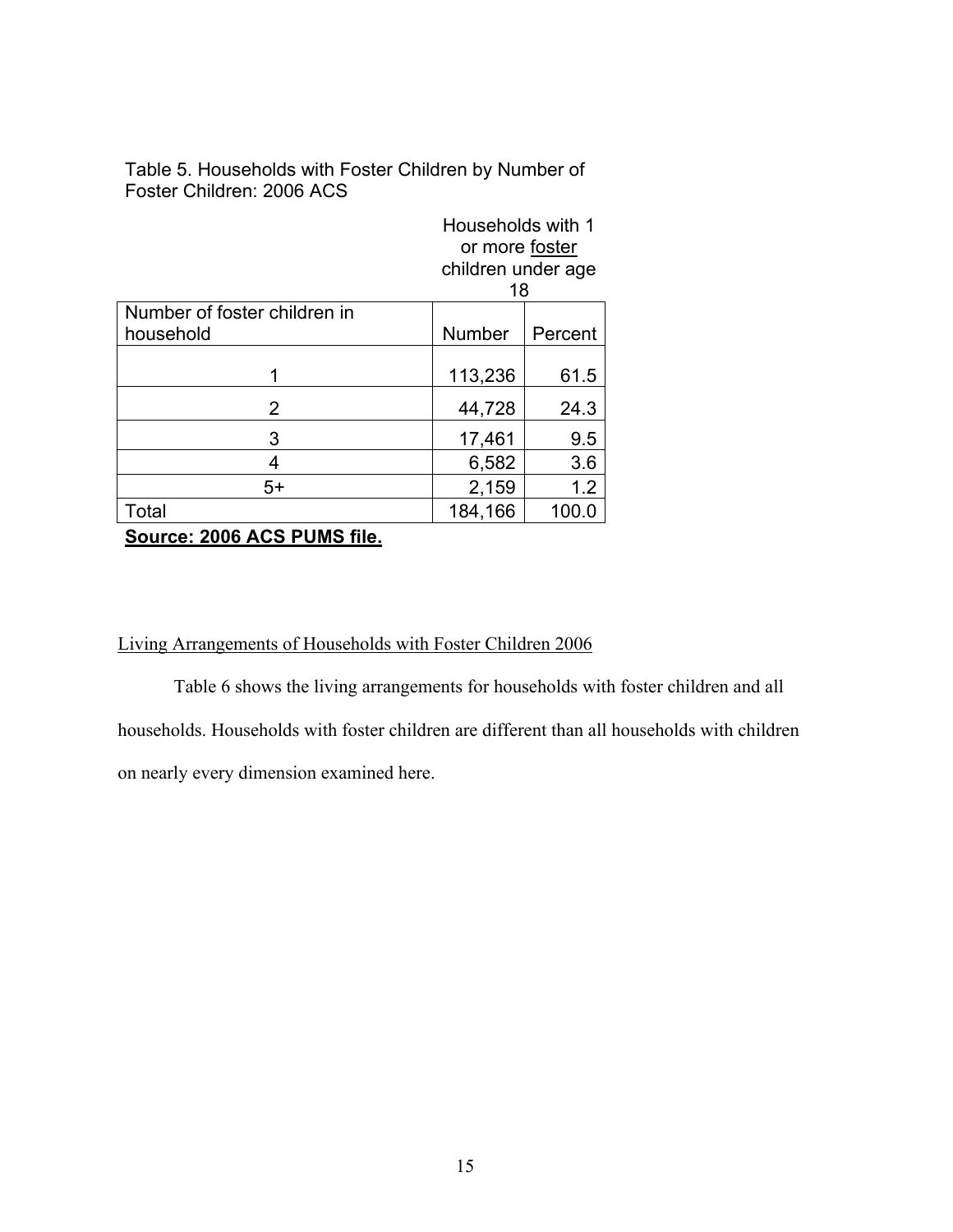Table 5. Households with Foster Children by Number of Foster Children: 2006 ACS

|                              |                  | Households with 1<br>or more foster<br>children under age<br>18 |  |  |
|------------------------------|------------------|-----------------------------------------------------------------|--|--|
| Number of foster children in |                  |                                                                 |  |  |
| household                    | <b>Number</b>    | Percent                                                         |  |  |
|                              |                  |                                                                 |  |  |
|                              | 113,236          | 61.5                                                            |  |  |
| 2                            | 44,728<br>24.3   |                                                                 |  |  |
| 3                            | 9.5<br>17,461    |                                                                 |  |  |
| 4                            | 6,582<br>3.6     |                                                                 |  |  |
| $5+$                         | 1.2<br>2,159     |                                                                 |  |  |
| Total                        | 184,166<br>100.0 |                                                                 |  |  |
| $0 - 1 - 0$                  |                  |                                                                 |  |  |

**Source: 2006 ACS PUMS file.** 

## Living Arrangements of Households with Foster Children 2006

Table 6 shows the living arrangements for households with foster children and all households. Households with foster children are different than all households with children on nearly every dimension examined here.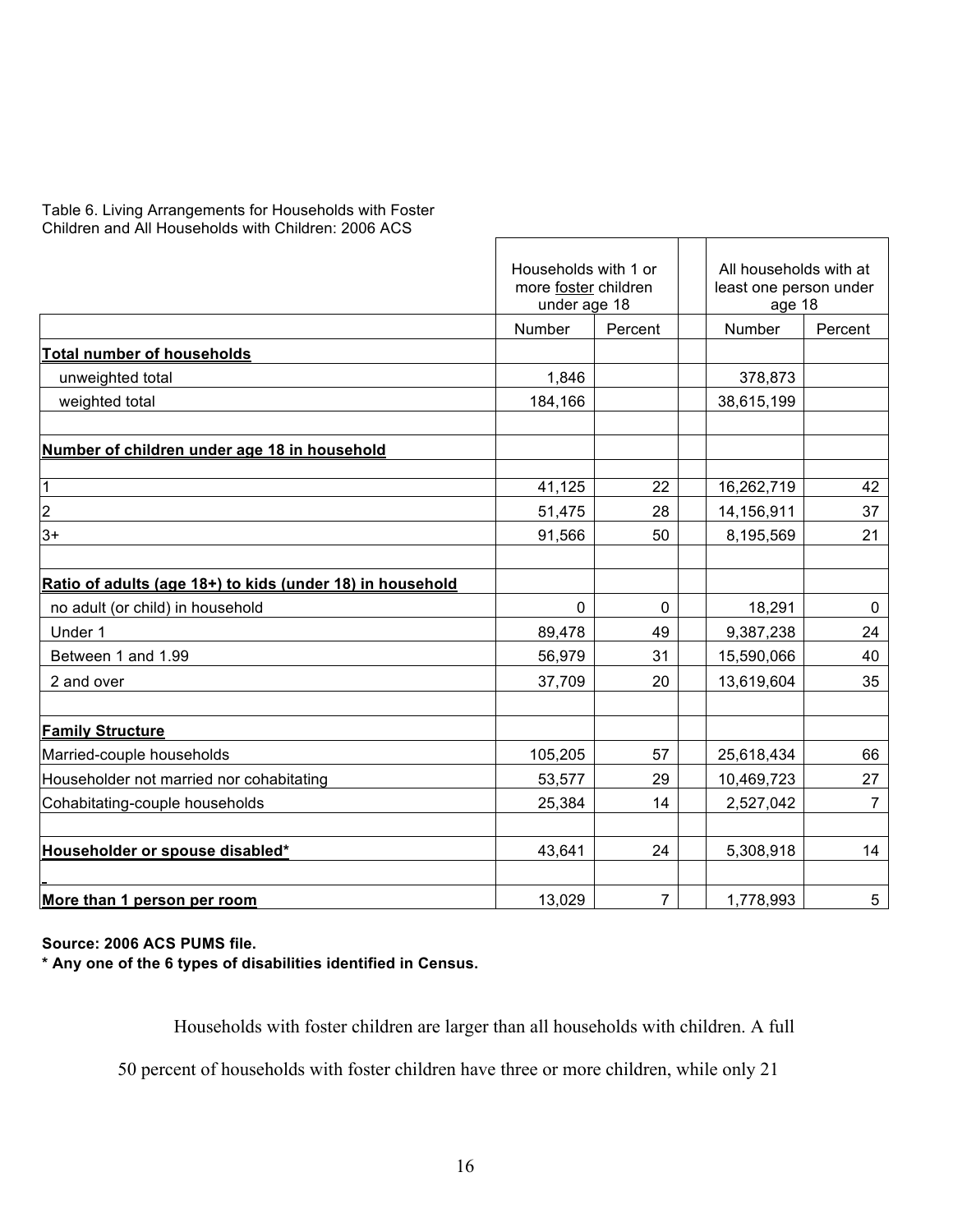| Table 6. Living Arrangements for Households with Foster |
|---------------------------------------------------------|
| Children and All Households with Children: 2006 ACS     |

|                                                           | Households with 1 or<br>more foster children<br>under age 18 |         | All households with at<br>least one person under<br>age 18 |                |
|-----------------------------------------------------------|--------------------------------------------------------------|---------|------------------------------------------------------------|----------------|
|                                                           | <b>Number</b>                                                | Percent | <b>Number</b>                                              | Percent        |
| <b>Total number of households</b>                         |                                                              |         |                                                            |                |
| unweighted total                                          | 1,846                                                        |         | 378,873                                                    |                |
| weighted total                                            | 184,166                                                      |         | 38,615,199                                                 |                |
| Number of children under age 18 in household              |                                                              |         |                                                            |                |
| 1                                                         | 41,125                                                       | 22      | 16,262,719                                                 | 42             |
| $\overline{\mathbf{c}}$                                   | 51,475                                                       | 28      | 14,156,911                                                 | 37             |
| $3+$                                                      | 91,566                                                       | 50      | 8,195,569                                                  | 21             |
| Ratio of adults (age 18+) to kids (under 18) in household |                                                              |         |                                                            |                |
| no adult (or child) in household                          | $\mathbf 0$                                                  | 0       | 18,291                                                     | 0              |
| Under 1                                                   | 89,478                                                       | 49      | 9,387,238                                                  | 24             |
| Between 1 and 1.99                                        | 56,979                                                       | 31      | 15,590,066                                                 | 40             |
| 2 and over                                                | 37,709                                                       | 20      | 13,619,604                                                 | 35             |
| <b>Family Structure</b>                                   |                                                              |         |                                                            |                |
| Married-couple households                                 | 105,205                                                      | 57      | 25,618,434                                                 | 66             |
| Householder not married nor cohabitating                  | 53,577                                                       | 29      | 10,469,723                                                 | 27             |
| Cohabitating-couple households                            | 25,384                                                       | 14      | 2,527,042                                                  | $\overline{7}$ |
| Householder or spouse disabled*                           | 43,641                                                       | 24      | 5,308,918                                                  | 14             |
| More than 1 person per room                               | 13,029                                                       | 7       | 1,778,993                                                  | 5              |

**Source: 2006 ACS PUMS file.**

**\* Any one of the 6 types of disabilities identified in Census.**

Households with foster children are larger than all households with children. A full

50 percent of households with foster children have three or more children, while only 21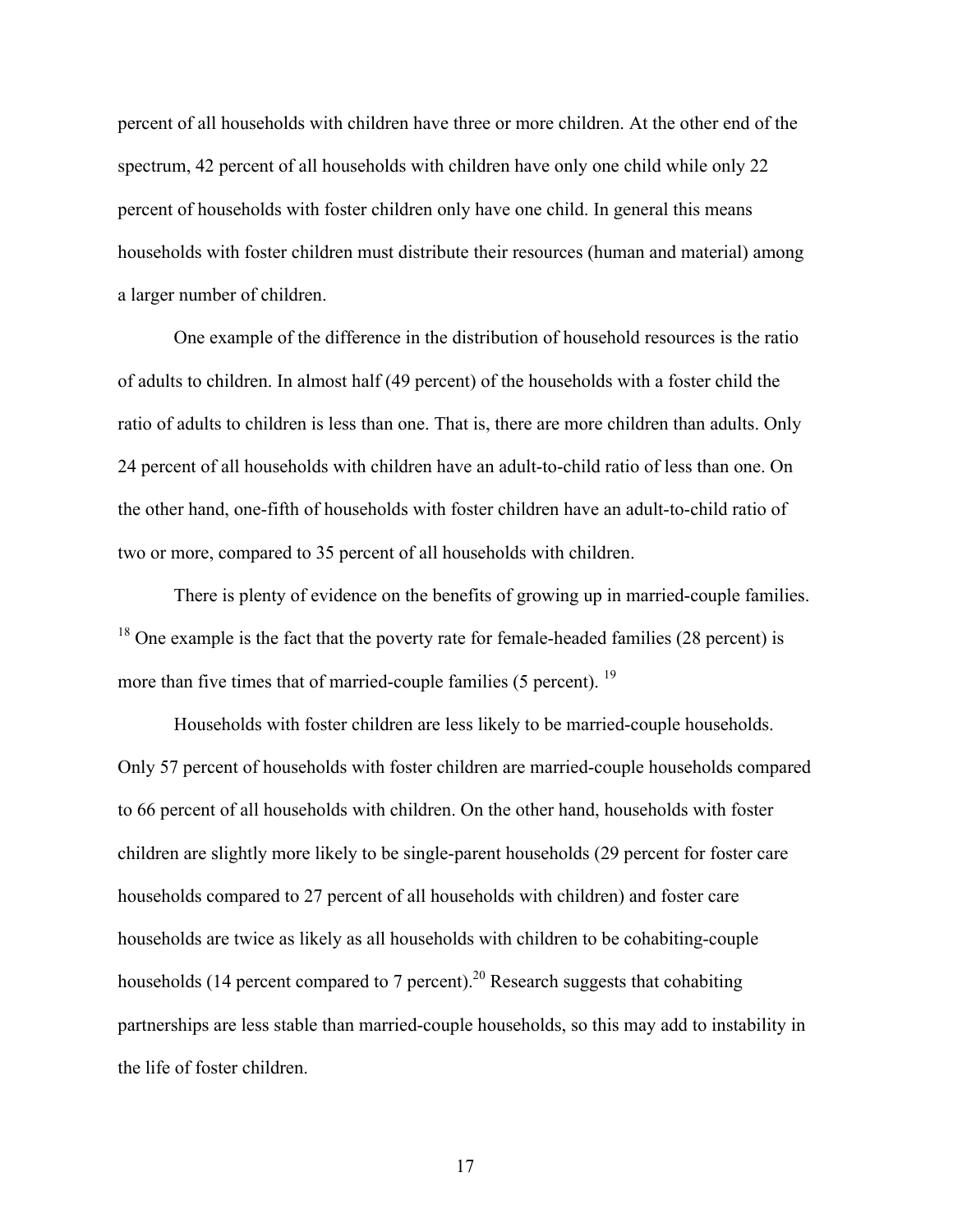percent of all households with children have three or more children. At the other end of the spectrum, 42 percent of all households with children have only one child while only 22 percent of households with foster children only have one child. In general this means households with foster children must distribute their resources (human and material) among a larger number of children.

One example of the difference in the distribution of household resources is the ratio of adults to children. In almost half (49 percent) of the households with a foster child the ratio of adults to children is less than one. That is, there are more children than adults. Only 24 percent of all households with children have an adult-to-child ratio of less than one. On the other hand, one-fifth of households with foster children have an adult-to-child ratio of two or more, compared to 35 percent of all households with children.

There is plenty of evidence on the benefits of growing up in married-couple families.  $18$  One example is the fact that the poverty rate for female-headed families (28 percent) is more than five times that of married-couple families (5 percent). <sup>19</sup>

Households with foster children are less likely to be married-couple households. Only 57 percent of households with foster children are married-couple households compared to 66 percent of all households with children. On the other hand, households with foster children are slightly more likely to be single-parent households (29 percent for foster care households compared to 27 percent of all households with children) and foster care households are twice as likely as all households with children to be cohabiting-couple households (14 percent compared to 7 percent).<sup>20</sup> Research suggests that cohabiting partnerships are less stable than married-couple households, so this may add to instability in the life of foster children.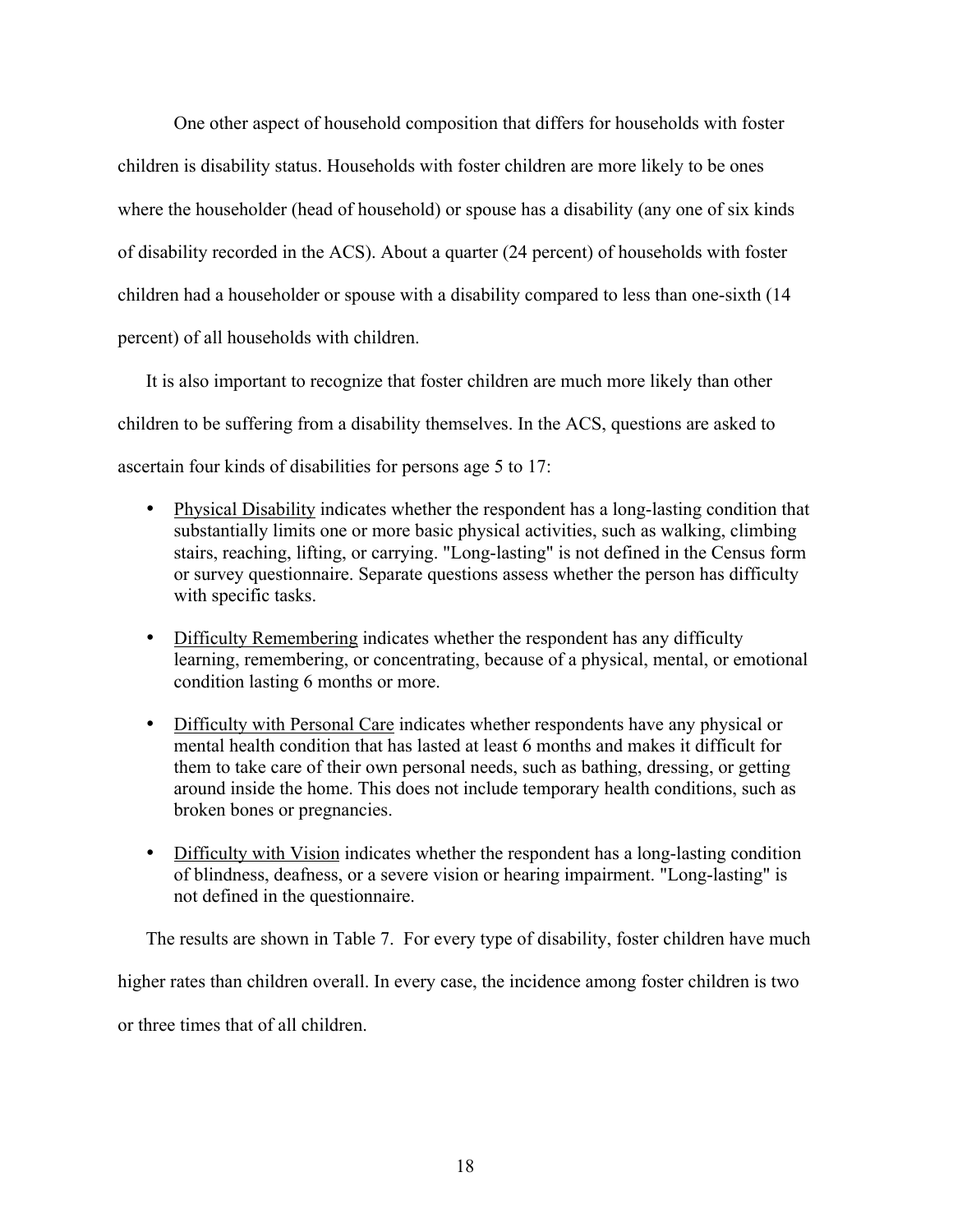One other aspect of household composition that differs for households with foster children is disability status. Households with foster children are more likely to be ones where the householder (head of household) or spouse has a disability (any one of six kinds of disability recorded in the ACS). About a quarter (24 percent) of households with foster children had a householder or spouse with a disability compared to less than one-sixth (14 percent) of all households with children.

It is also important to recognize that foster children are much more likely than other children to be suffering from a disability themselves. In the ACS, questions are asked to ascertain four kinds of disabilities for persons age 5 to 17:

- Physical Disability indicates whether the respondent has a long-lasting condition that substantially limits one or more basic physical activities, such as walking, climbing stairs, reaching, lifting, or carrying. "Long-lasting" is not defined in the Census form or survey questionnaire. Separate questions assess whether the person has difficulty with specific tasks.
- Difficulty Remembering indicates whether the respondent has any difficulty learning, remembering, or concentrating, because of a physical, mental, or emotional condition lasting 6 months or more.
- Difficulty with Personal Care indicates whether respondents have any physical or mental health condition that has lasted at least 6 months and makes it difficult for them to take care of their own personal needs, such as bathing, dressing, or getting around inside the home. This does not include temporary health conditions, such as broken bones or pregnancies.
- Difficulty with Vision indicates whether the respondent has a long-lasting condition of blindness, deafness, or a severe vision or hearing impairment. "Long-lasting" is not defined in the questionnaire.

The results are shown in Table 7. For every type of disability, foster children have much higher rates than children overall. In every case, the incidence among foster children is two or three times that of all children.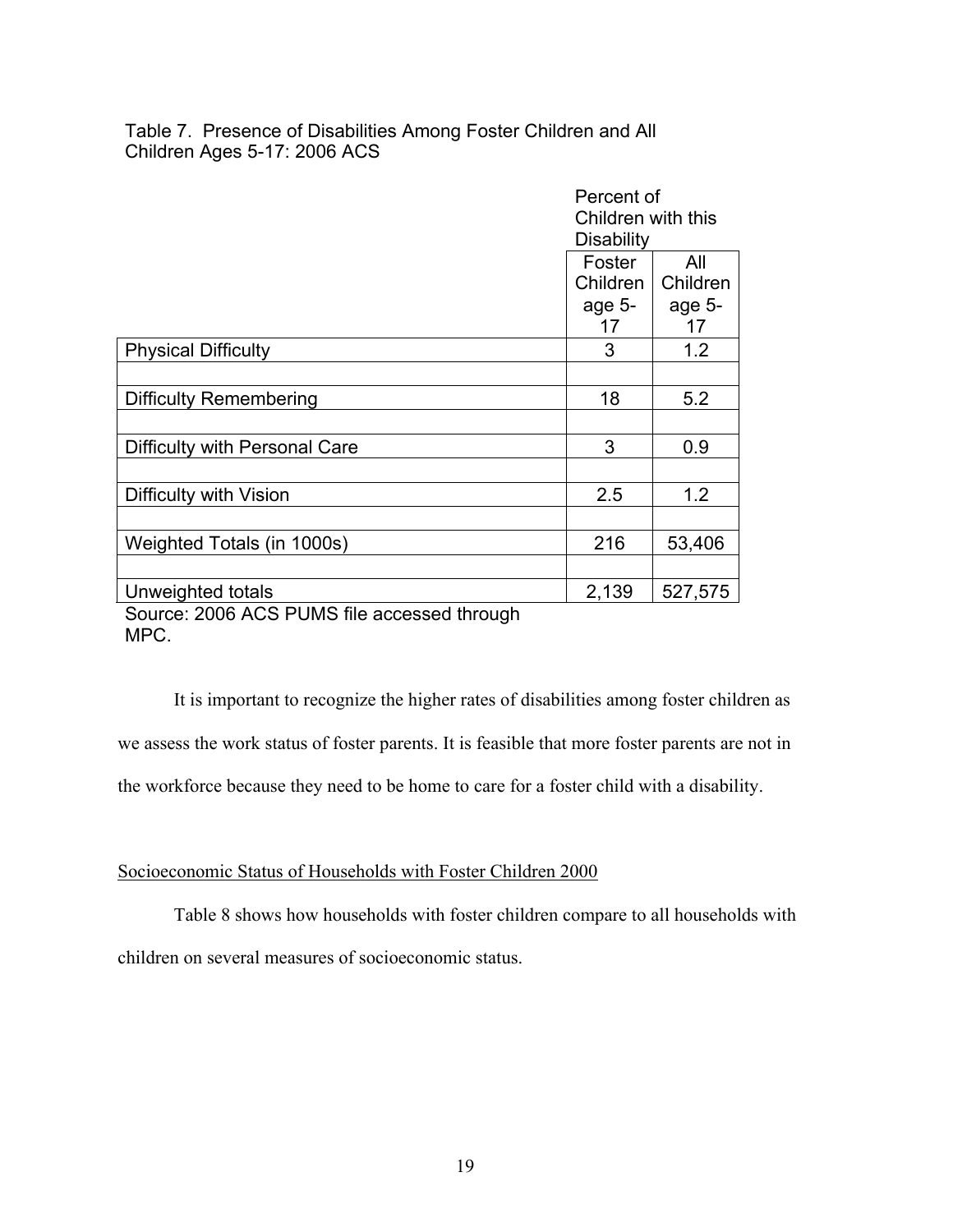Table 7. Presence of Disabilities Among Foster Children and All Children Ages 5-17: 2006 ACS

|                                             | Percent of<br>Children with this<br><b>Disability</b> |          |  |
|---------------------------------------------|-------------------------------------------------------|----------|--|
|                                             | Foster                                                | All      |  |
|                                             | Children                                              | Children |  |
|                                             | age 5-                                                | age 5-   |  |
|                                             | 17                                                    | 17       |  |
| <b>Physical Difficulty</b>                  | 3                                                     | 1.2      |  |
|                                             |                                                       |          |  |
| Difficulty Remembering                      | 18                                                    | 5.2      |  |
|                                             |                                                       |          |  |
| Difficulty with Personal Care               | 3                                                     | 0.9      |  |
|                                             |                                                       |          |  |
| Difficulty with Vision                      | 2.5                                                   | 1.2      |  |
|                                             |                                                       |          |  |
| Weighted Totals (in 1000s)                  | 216                                                   | 53,406   |  |
|                                             |                                                       |          |  |
| Unweighted totals                           | 2,139                                                 | 527,575  |  |
| Source: 2006 ACS PUMS file accessed through |                                                       |          |  |

MPC.

It is important to recognize the higher rates of disabilities among foster children as we assess the work status of foster parents. It is feasible that more foster parents are not in the workforce because they need to be home to care for a foster child with a disability.

## Socioeconomic Status of Households with Foster Children 2000

Table 8 shows how households with foster children compare to all households with children on several measures of socioeconomic status.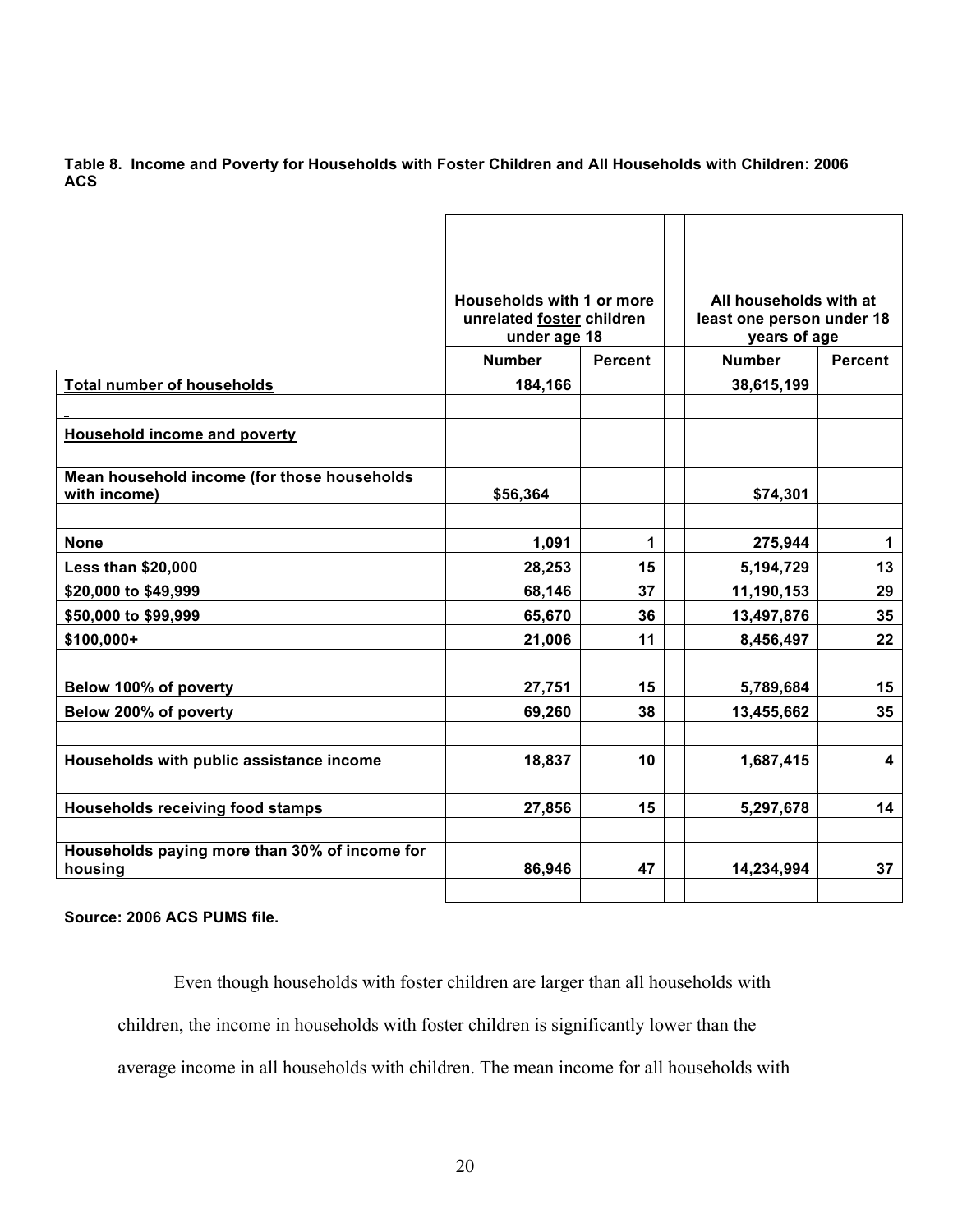**Table 8. Income and Poverty for Households with Foster Children and All Households with Children: 2006 ACS**

|                                                          | Households with 1 or more<br>unrelated foster children<br>under age 18 |                | All households with at<br>least one person under 18<br>years of age |                         |
|----------------------------------------------------------|------------------------------------------------------------------------|----------------|---------------------------------------------------------------------|-------------------------|
|                                                          | <b>Number</b>                                                          | <b>Percent</b> |                                                                     | <b>Percent</b>          |
| <b>Total number of households</b>                        | 184,166                                                                |                | 38,615,199                                                          |                         |
|                                                          |                                                                        |                |                                                                     |                         |
| Household income and poverty                             |                                                                        |                |                                                                     |                         |
|                                                          |                                                                        |                |                                                                     |                         |
| Mean household income (for those households              |                                                                        |                |                                                                     |                         |
| with income)                                             | \$56,364                                                               |                | \$74,301                                                            |                         |
|                                                          |                                                                        |                |                                                                     |                         |
| <b>None</b>                                              | 1,091                                                                  | 1              | 275,944                                                             | $\mathbf 1$             |
| <b>Less than \$20,000</b>                                | 28,253                                                                 | 15             | 5,194,729                                                           | 13                      |
| \$20,000 to \$49,999                                     | 68,146                                                                 | 37             | 11,190,153                                                          | 29                      |
| \$50,000 to \$99,999                                     | 65,670                                                                 | 36             | 13,497,876                                                          | 35                      |
| $$100,000+$                                              | 21,006                                                                 | 11             | 8,456,497                                                           | 22                      |
|                                                          |                                                                        |                |                                                                     |                         |
| Below 100% of poverty                                    | 27,751                                                                 | 15             | 5,789,684                                                           | 15                      |
| Below 200% of poverty                                    | 69,260                                                                 | 38             | 13,455,662                                                          | 35                      |
|                                                          |                                                                        |                |                                                                     |                         |
| Households with public assistance income                 | 18,837                                                                 | 10             | 1,687,415                                                           | $\overline{\mathbf{4}}$ |
|                                                          |                                                                        |                |                                                                     |                         |
| <b>Households receiving food stamps</b>                  | 27,856                                                                 | 15             | 5,297,678                                                           | 14                      |
|                                                          |                                                                        |                |                                                                     |                         |
| Households paying more than 30% of income for<br>housing | 86,946                                                                 | 47             | 14,234,994                                                          | 37                      |
|                                                          |                                                                        |                |                                                                     |                         |

**Source: 2006 ACS PUMS file.**

Even though households with foster children are larger than all households with children, the income in households with foster children is significantly lower than the average income in all households with children. The mean income for all households with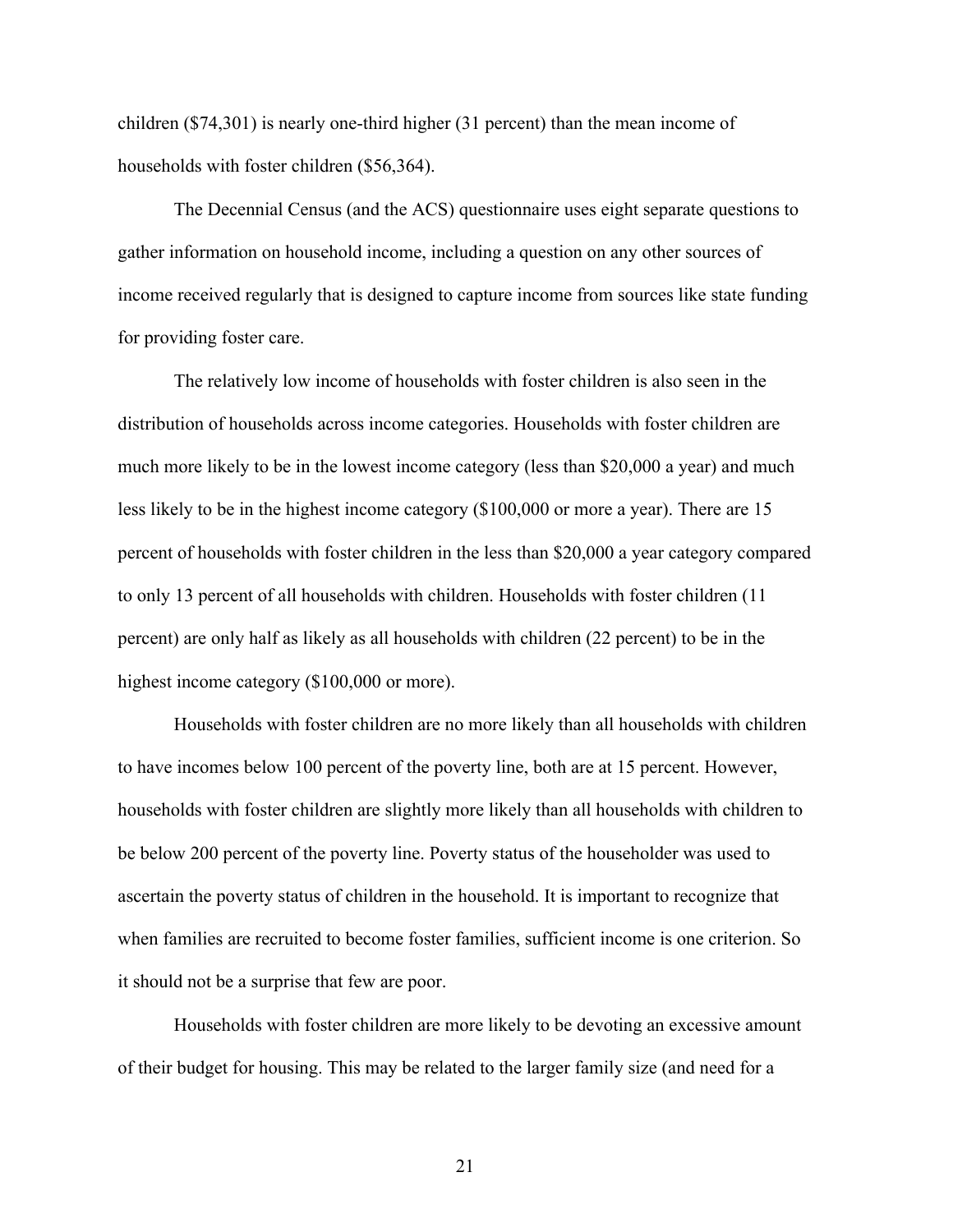children (\$74,301) is nearly one-third higher (31 percent) than the mean income of households with foster children (\$56,364).

The Decennial Census (and the ACS) questionnaire uses eight separate questions to gather information on household income, including a question on any other sources of income received regularly that is designed to capture income from sources like state funding for providing foster care.

The relatively low income of households with foster children is also seen in the distribution of households across income categories. Households with foster children are much more likely to be in the lowest income category (less than \$20,000 a year) and much less likely to be in the highest income category (\$100,000 or more a year). There are 15 percent of households with foster children in the less than \$20,000 a year category compared to only 13 percent of all households with children. Households with foster children (11 percent) are only half as likely as all households with children (22 percent) to be in the highest income category (\$100,000 or more).

Households with foster children are no more likely than all households with children to have incomes below 100 percent of the poverty line, both are at 15 percent. However, households with foster children are slightly more likely than all households with children to be below 200 percent of the poverty line. Poverty status of the householder was used to ascertain the poverty status of children in the household. It is important to recognize that when families are recruited to become foster families, sufficient income is one criterion. So it should not be a surprise that few are poor.

Households with foster children are more likely to be devoting an excessive amount of their budget for housing. This may be related to the larger family size (and need for a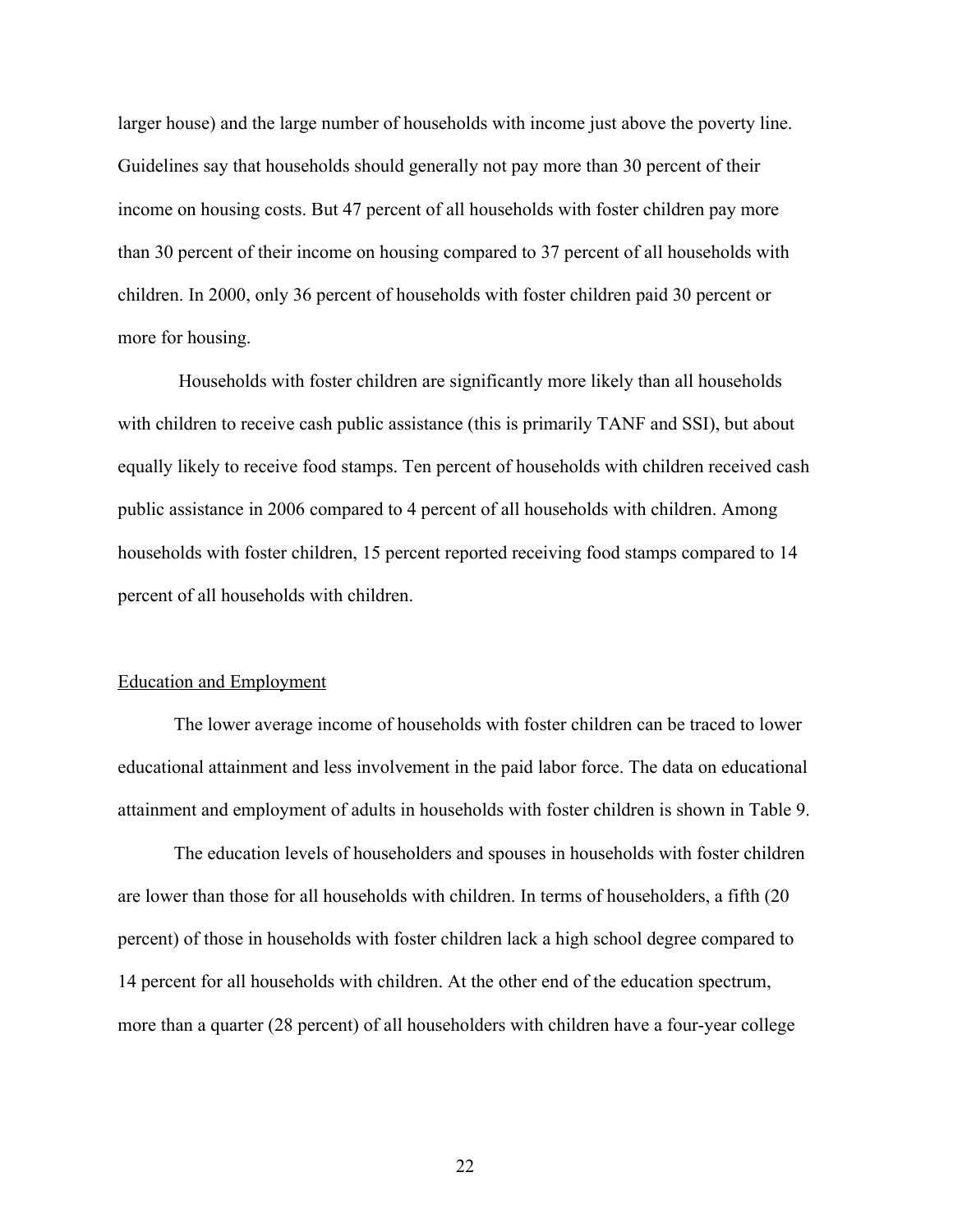larger house) and the large number of households with income just above the poverty line. Guidelines say that households should generally not pay more than 30 percent of their income on housing costs. But 47 percent of all households with foster children pay more than 30 percent of their income on housing compared to 37 percent of all households with children. In 2000, only 36 percent of households with foster children paid 30 percent or more for housing.

 Households with foster children are significantly more likely than all households with children to receive cash public assistance (this is primarily TANF and SSI), but about equally likely to receive food stamps. Ten percent of households with children received cash public assistance in 2006 compared to 4 percent of all households with children. Among households with foster children, 15 percent reported receiving food stamps compared to 14 percent of all households with children.

#### Education and Employment

The lower average income of households with foster children can be traced to lower educational attainment and less involvement in the paid labor force. The data on educational attainment and employment of adults in households with foster children is shown in Table 9.

The education levels of householders and spouses in households with foster children are lower than those for all households with children. In terms of householders, a fifth (20 percent) of those in households with foster children lack a high school degree compared to 14 percent for all households with children. At the other end of the education spectrum, more than a quarter (28 percent) of all householders with children have a four-year college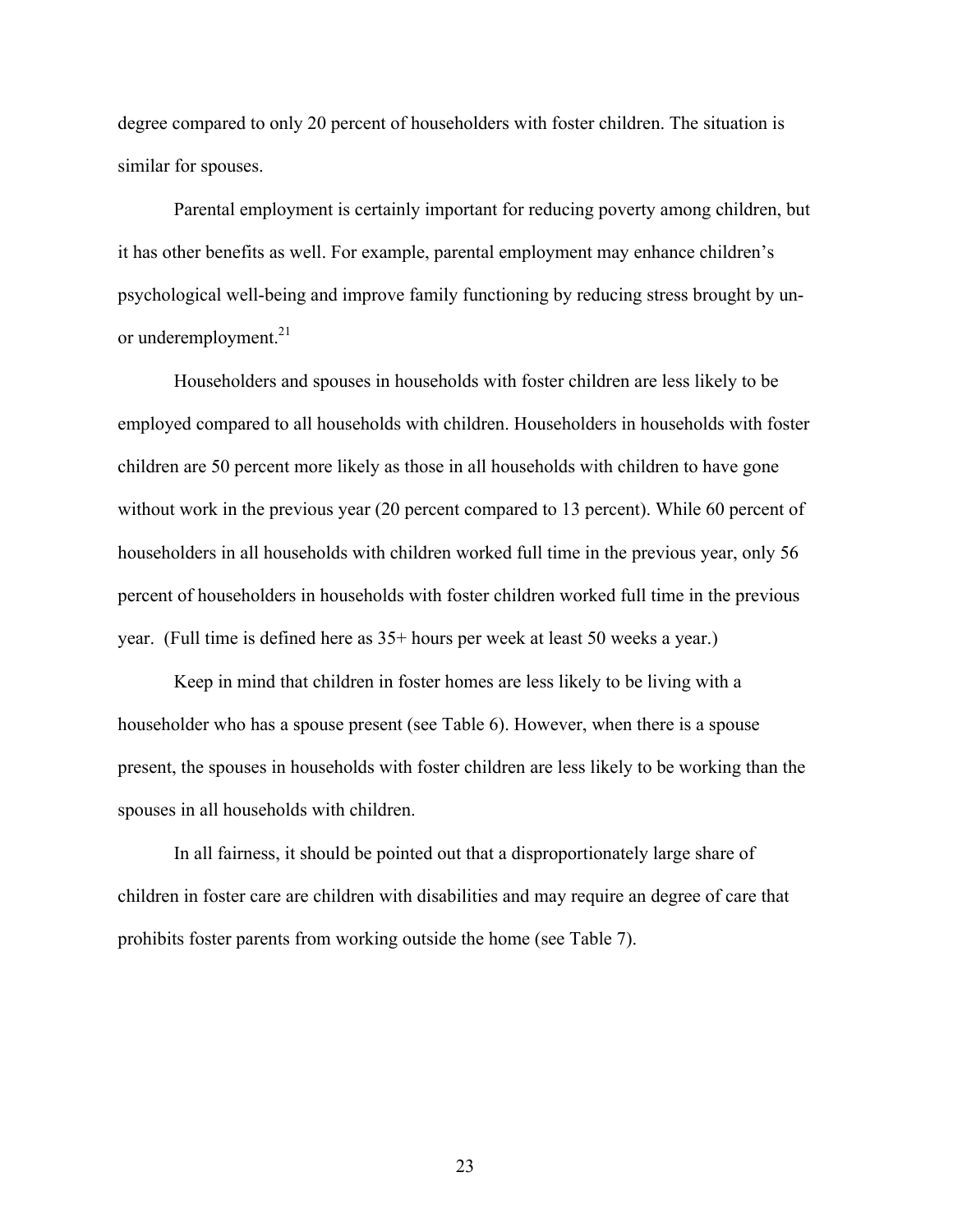degree compared to only 20 percent of householders with foster children. The situation is similar for spouses.

Parental employment is certainly important for reducing poverty among children, but it has other benefits as well. For example, parental employment may enhance children's psychological well-being and improve family functioning by reducing stress brought by unor underemployment.<sup>21</sup>

Householders and spouses in households with foster children are less likely to be employed compared to all households with children. Householders in households with foster children are 50 percent more likely as those in all households with children to have gone without work in the previous year (20 percent compared to 13 percent). While 60 percent of householders in all households with children worked full time in the previous year, only 56 percent of householders in households with foster children worked full time in the previous year. (Full time is defined here as 35+ hours per week at least 50 weeks a year.)

Keep in mind that children in foster homes are less likely to be living with a householder who has a spouse present (see Table 6). However, when there is a spouse present, the spouses in households with foster children are less likely to be working than the spouses in all households with children.

In all fairness, it should be pointed out that a disproportionately large share of children in foster care are children with disabilities and may require an degree of care that prohibits foster parents from working outside the home (see Table 7).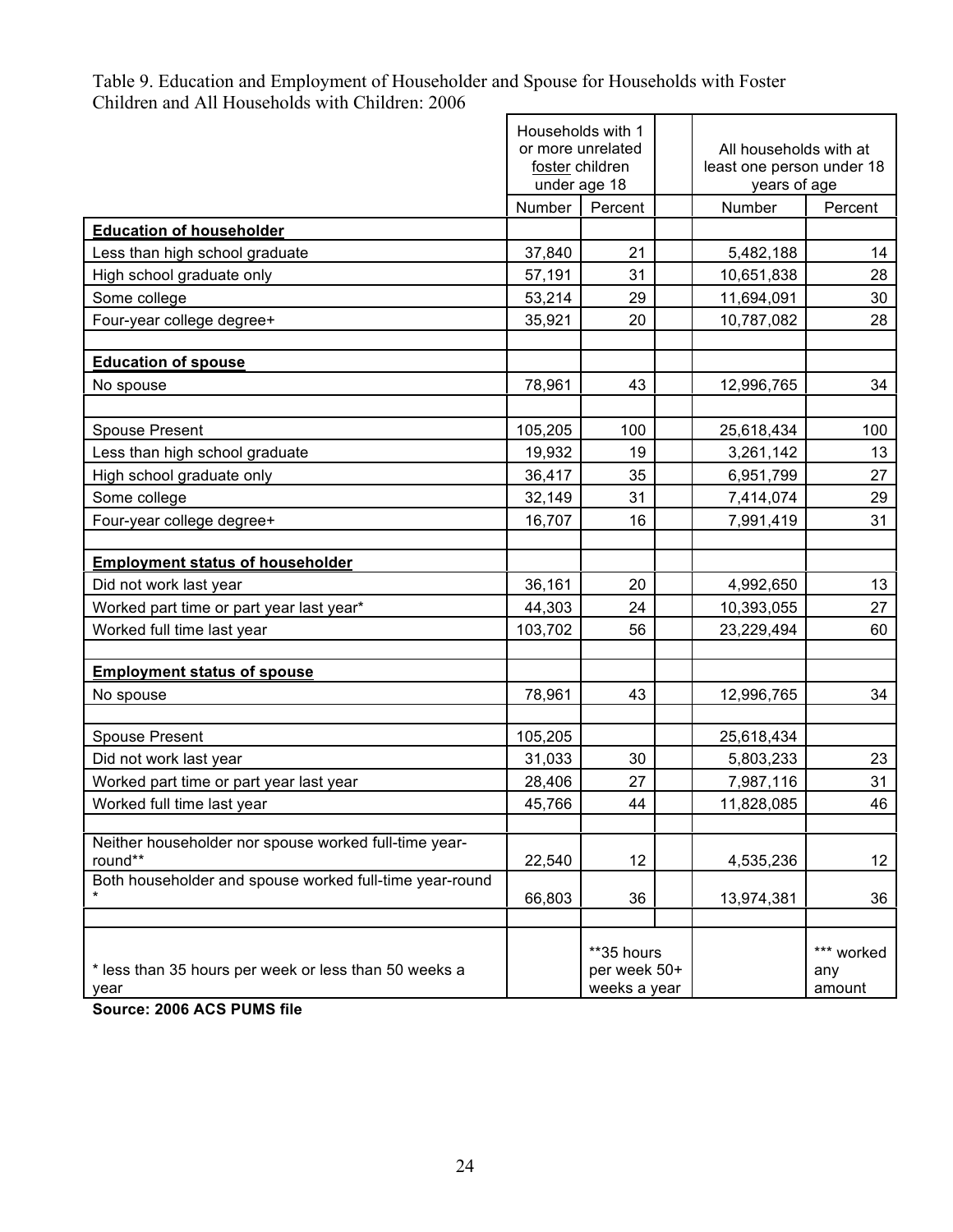|                                                         | Households with 1<br>or more unrelated<br>foster children<br>under age 18 |              | All households with at<br>least one person under 18<br>years of age |                 |  |
|---------------------------------------------------------|---------------------------------------------------------------------------|--------------|---------------------------------------------------------------------|-----------------|--|
|                                                         | Number                                                                    | Percent      | Number                                                              | Percent         |  |
| <b>Education of householder</b>                         |                                                                           |              |                                                                     |                 |  |
| Less than high school graduate                          | 37,840                                                                    | 21           | 5,482,188                                                           | 14              |  |
| High school graduate only                               | 57,191                                                                    | 31           | 10,651,838                                                          | 28              |  |
| Some college                                            | 53,214                                                                    | 29           | 11,694,091                                                          | 30              |  |
| Four-year college degree+                               | 35,921                                                                    | 20           | 10,787,082                                                          | 28              |  |
|                                                         |                                                                           |              |                                                                     |                 |  |
| <b>Education of spouse</b>                              |                                                                           |              |                                                                     |                 |  |
| No spouse                                               | 78,961                                                                    | 43           | 12,996,765                                                          | 34              |  |
|                                                         |                                                                           |              |                                                                     |                 |  |
| <b>Spouse Present</b>                                   | 105,205                                                                   | 100          | 25,618,434                                                          | 100             |  |
| Less than high school graduate                          | 19,932                                                                    | 19           | 3,261,142                                                           | 13              |  |
| High school graduate only                               | 36,417                                                                    | 35           | 6,951,799                                                           | 27              |  |
| Some college                                            | 32,149                                                                    | 31           | 7,414,074                                                           | 29              |  |
| Four-year college degree+                               | 16,707                                                                    | 16           | 7,991,419                                                           | 31              |  |
|                                                         |                                                                           |              |                                                                     |                 |  |
| <b>Employment status of householder</b>                 |                                                                           |              |                                                                     |                 |  |
| Did not work last year                                  | 36,161                                                                    | 20           | 4,992,650                                                           | 13              |  |
| Worked part time or part year last year*                | 44,303                                                                    | 24           | 10,393,055                                                          | 27              |  |
| Worked full time last year                              | 103,702                                                                   | 56           | 23,229,494                                                          | 60              |  |
|                                                         |                                                                           |              |                                                                     |                 |  |
| <b>Employment status of spouse</b>                      |                                                                           |              |                                                                     |                 |  |
| No spouse                                               | 78,961                                                                    | 43           | 12,996,765                                                          | 34              |  |
|                                                         |                                                                           |              |                                                                     |                 |  |
| <b>Spouse Present</b><br>Did not work last year         | 105,205                                                                   | 30           | 25,618,434                                                          | 23              |  |
|                                                         | 31,033                                                                    |              | 5,803,233                                                           |                 |  |
| Worked part time or part year last year                 | 28,406                                                                    | 27           | 7,987,116                                                           | 31              |  |
| Worked full time last year                              | 45,766                                                                    | 44           | 11,828,085                                                          | 46              |  |
| Neither householder nor spouse worked full-time year-   |                                                                           |              |                                                                     |                 |  |
| round**                                                 | 22,540                                                                    | 12           | 4,535,236                                                           | 12 <sub>2</sub> |  |
| Both householder and spouse worked full-time year-round |                                                                           |              |                                                                     |                 |  |
|                                                         | 66,803                                                                    | 36           | 13,974,381                                                          | 36              |  |
|                                                         |                                                                           |              |                                                                     |                 |  |
|                                                         |                                                                           | **35 hours   |                                                                     | *** worked      |  |
| * less than 35 hours per week or less than 50 weeks a   |                                                                           | per week 50+ |                                                                     | any             |  |
| year                                                    |                                                                           | weeks a year |                                                                     | amount          |  |

## Table 9. Education and Employment of Householder and Spouse for Households with Foster Children and All Households with Children: 2006

**Source: 2006 ACS PUMS file**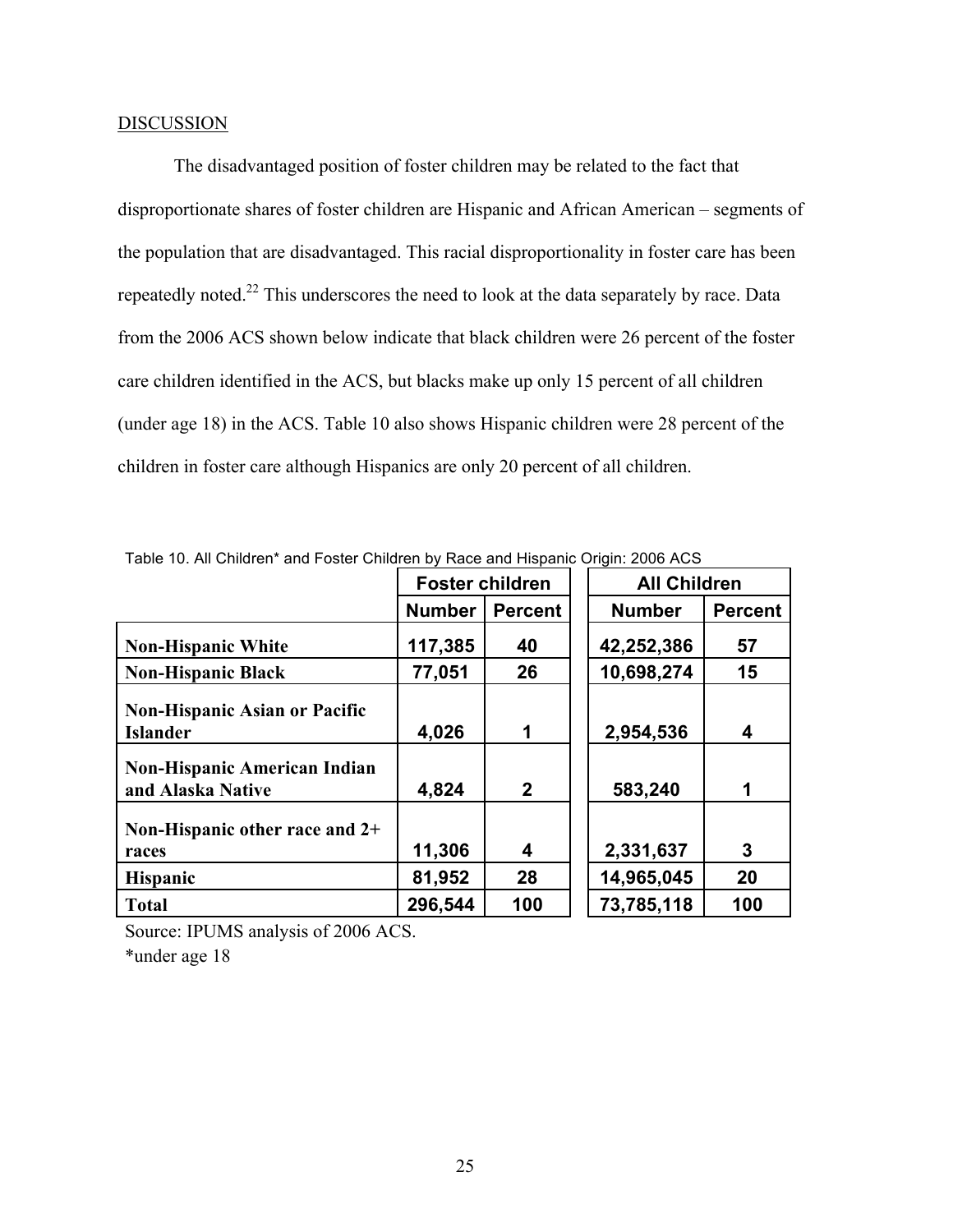### **DISCUSSION**

The disadvantaged position of foster children may be related to the fact that disproportionate shares of foster children are Hispanic and African American – segments of the population that are disadvantaged. This racial disproportionality in foster care has been repeatedly noted.22 This underscores the need to look at the data separately by race. Data from the 2006 ACS shown below indicate that black children were 26 percent of the foster care children identified in the ACS, but blacks make up only 15 percent of all children (under age 18) in the ACS. Table 10 also shows Hispanic children were 28 percent of the children in foster care although Hispanics are only 20 percent of all children.

|                                                          | <b>Foster children</b> |                | <b>All Children</b> |                |
|----------------------------------------------------------|------------------------|----------------|---------------------|----------------|
|                                                          | <b>Number</b>          | <b>Percent</b> | <b>Number</b>       | <b>Percent</b> |
| <b>Non-Hispanic White</b>                                | 117,385                | 40             | 42,252,386          | 57             |
| <b>Non-Hispanic Black</b>                                | 77,051                 | 26             | 10,698,274          | 15             |
| <b>Non-Hispanic Asian or Pacific</b><br><b>Islander</b>  | 4,026                  | 1              | 2,954,536           | 4              |
| <b>Non-Hispanic American Indian</b><br>and Alaska Native | 4,824                  | $\mathbf{2}$   | 583,240             | 1              |
| Non-Hispanic other race and 2+<br>races                  | 11,306                 | 4              | 2,331,637           | 3              |
| <b>Hispanic</b>                                          | 81,952                 | 28             | 14,965,045          | 20             |
| <b>Total</b>                                             | 296,544                | 100            | 73,785,118          | 100            |

Table 10. All Children\* and Foster Children by Race and Hispanic Origin: 2006 ACS

Source: IPUMS analysis of 2006 ACS.

\*under age 18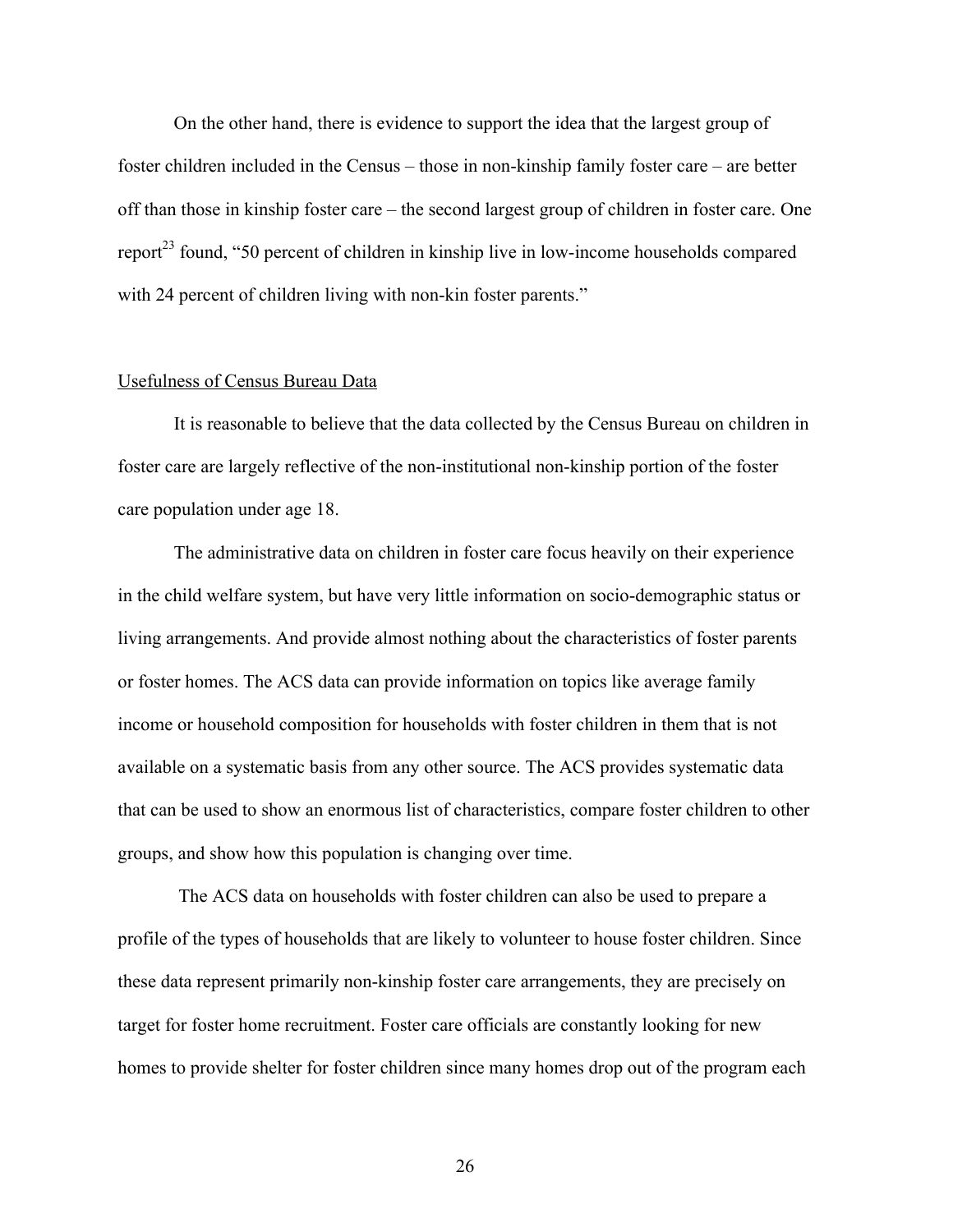On the other hand, there is evidence to support the idea that the largest group of foster children included in the Census – those in non-kinship family foster care – are better off than those in kinship foster care – the second largest group of children in foster care. One report<sup>23</sup> found, "50 percent of children in kinship live in low-income households compared with 24 percent of children living with non-kin foster parents."

#### Usefulness of Census Bureau Data

It is reasonable to believe that the data collected by the Census Bureau on children in foster care are largely reflective of the non-institutional non-kinship portion of the foster care population under age 18.

The administrative data on children in foster care focus heavily on their experience in the child welfare system, but have very little information on socio-demographic status or living arrangements. And provide almost nothing about the characteristics of foster parents or foster homes. The ACS data can provide information on topics like average family income or household composition for households with foster children in them that is not available on a systematic basis from any other source. The ACS provides systematic data that can be used to show an enormous list of characteristics, compare foster children to other groups, and show how this population is changing over time.

 The ACS data on households with foster children can also be used to prepare a profile of the types of households that are likely to volunteer to house foster children. Since these data represent primarily non-kinship foster care arrangements, they are precisely on target for foster home recruitment. Foster care officials are constantly looking for new homes to provide shelter for foster children since many homes drop out of the program each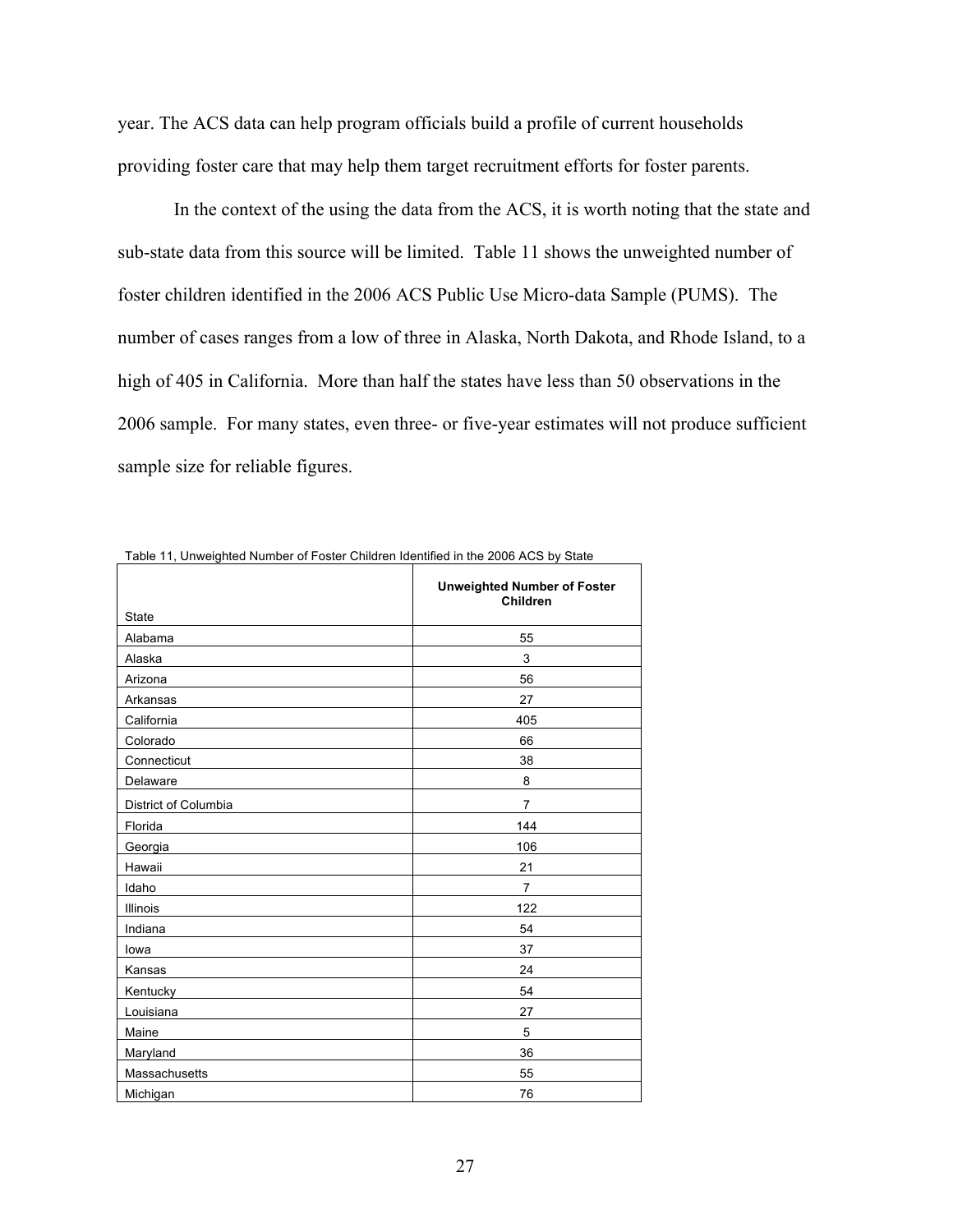year. The ACS data can help program officials build a profile of current households providing foster care that may help them target recruitment efforts for foster parents.

In the context of the using the data from the ACS, it is worth noting that the state and sub-state data from this source will be limited. Table 11 shows the unweighted number of foster children identified in the 2006 ACS Public Use Micro-data Sample (PUMS). The number of cases ranges from a low of three in Alaska, North Dakota, and Rhode Island, to a high of 405 in California. More than half the states have less than 50 observations in the 2006 sample. For many states, even three- or five-year estimates will not produce sufficient sample size for reliable figures.

|                      | <b>Unweighted Number of Foster</b> |
|----------------------|------------------------------------|
|                      | <b>Children</b>                    |
| State                |                                    |
| Alabama              | 55                                 |
| Alaska               | 3                                  |
| Arizona              | 56                                 |
| Arkansas             | 27                                 |
| California           | 405                                |
| Colorado             | 66                                 |
| Connecticut          | 38                                 |
| Delaware             | 8                                  |
| District of Columbia | $\overline{7}$                     |
| Florida              | 144                                |
| Georgia              | 106                                |
| Hawaii               | 21                                 |
| Idaho                | $\overline{7}$                     |
| Illinois             | 122                                |
| Indiana              | 54                                 |
| lowa                 | 37                                 |
| Kansas               | 24                                 |
| Kentucky             | 54                                 |
| Louisiana            | 27                                 |
| Maine                | 5                                  |
| Maryland             | 36                                 |
| Massachusetts        | 55                                 |
| Michigan             | 76                                 |

Table 11, Unweighted Number of Foster Children Identified in the 2006 ACS by State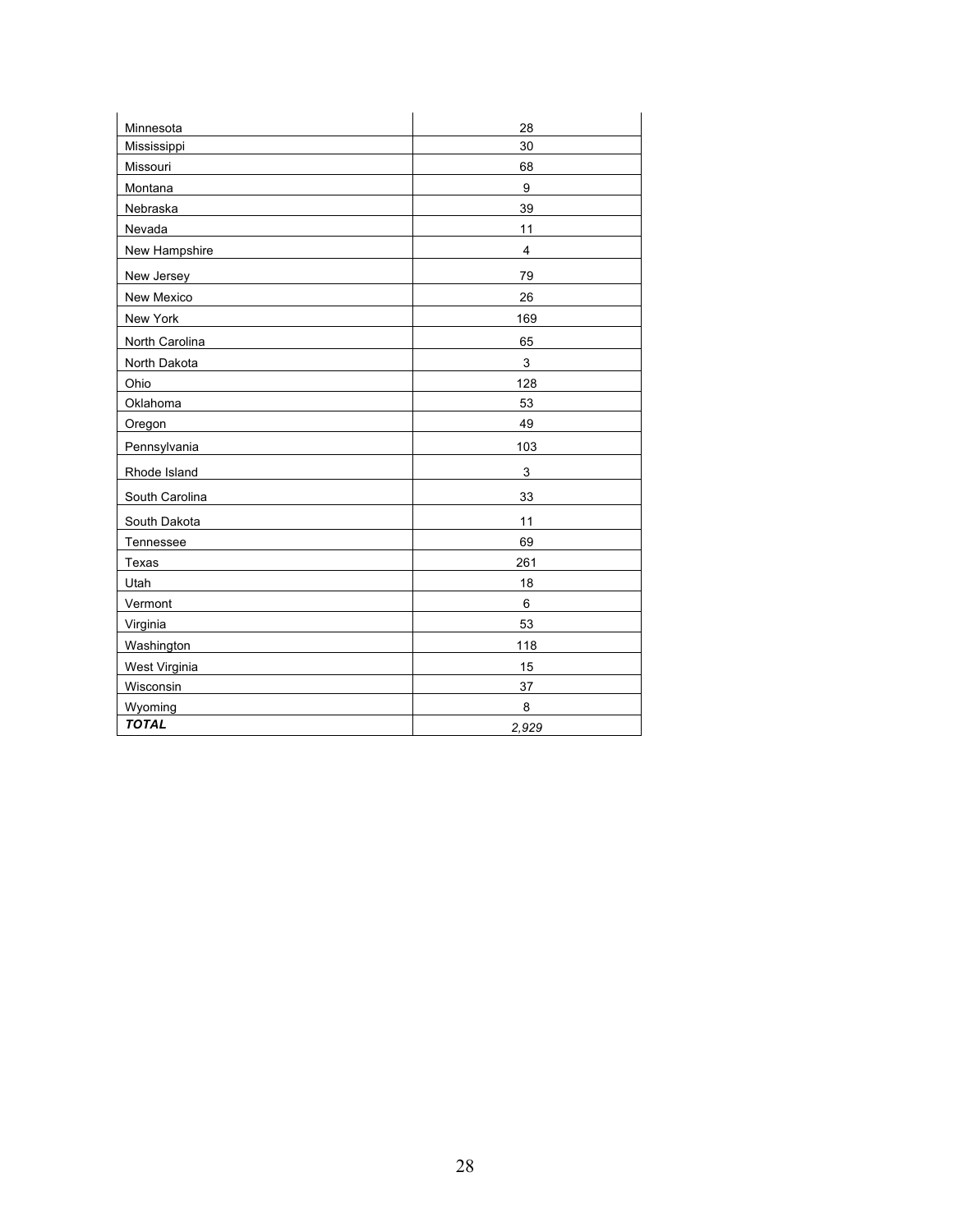| Minnesota            | 28             |
|----------------------|----------------|
| Mississippi          | 30             |
| Missouri             | 68             |
| Montana              | 9              |
| Nebraska             | 39             |
| Nevada               | 11             |
| New Hampshire        | $\overline{4}$ |
| New Jersey           | 79             |
| New Mexico           | 26             |
| New York             | 169            |
| North Carolina       | 65             |
| North Dakota         | $\mathsf 3$    |
| Ohio                 | 128            |
| Oklahoma             | 53             |
| Oregon               | 49             |
| Pennsylvania         | 103            |
| Rhode Island         | 3              |
| South Carolina       | 33             |
| South Dakota         | 11             |
| Tennessee            | 69             |
| Texas                | 261            |
| Utah                 | 18             |
| Vermont              | 6              |
| Virginia             | 53             |
| Washington           | 118            |
| <b>West Virginia</b> | 15             |
| Wisconsin            | 37             |
| Wyoming              | 8              |
| <b>TOTAL</b>         | 2,929          |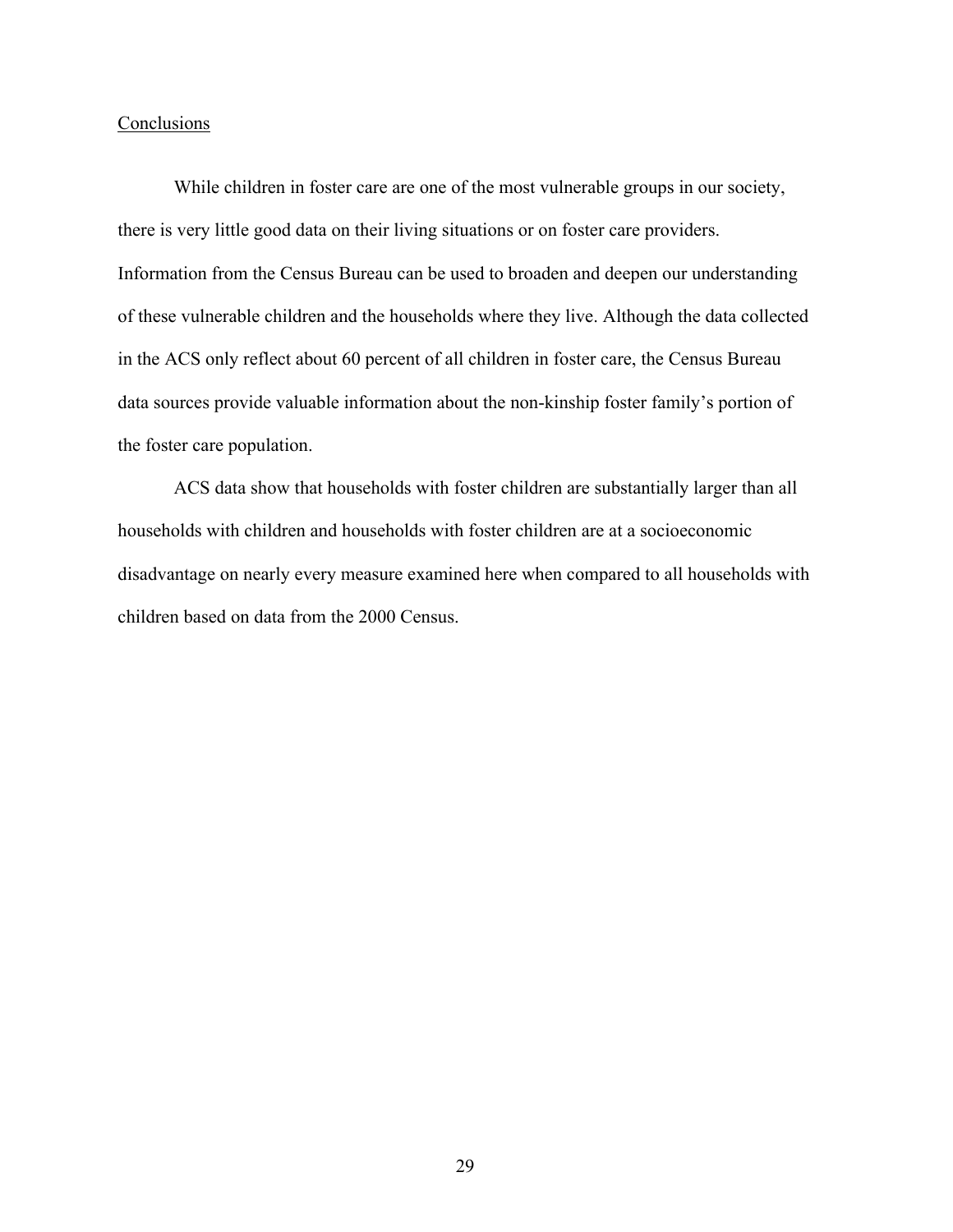## **Conclusions**

While children in foster care are one of the most vulnerable groups in our society, there is very little good data on their living situations or on foster care providers. Information from the Census Bureau can be used to broaden and deepen our understanding of these vulnerable children and the households where they live. Although the data collected in the ACS only reflect about 60 percent of all children in foster care, the Census Bureau data sources provide valuable information about the non-kinship foster family's portion of the foster care population.

ACS data show that households with foster children are substantially larger than all households with children and households with foster children are at a socioeconomic disadvantage on nearly every measure examined here when compared to all households with children based on data from the 2000 Census.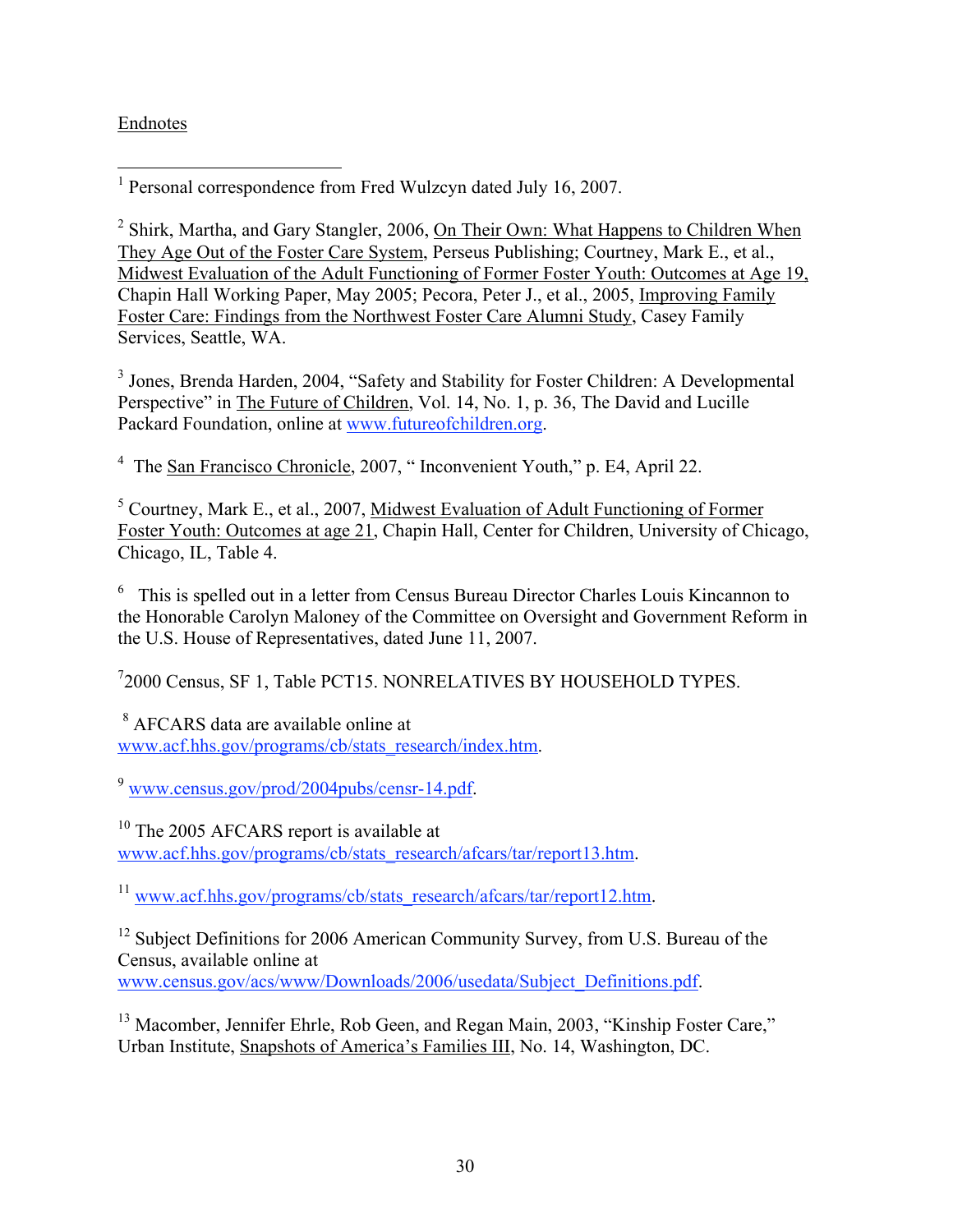## Endnotes

1 Personal correspondence from Fred Wulzcyn dated July 16, 2007.

<sup>2</sup> Shirk, Martha, and Gary Stangler, 2006, On Their Own: What Happens to Children When They Age Out of the Foster Care System, Perseus Publishing; Courtney, Mark E., et al., Midwest Evaluation of the Adult Functioning of Former Foster Youth: Outcomes at Age 19, Chapin Hall Working Paper, May 2005; Pecora, Peter J., et al., 2005, Improving Family Foster Care: Findings from the Northwest Foster Care Alumni Study, Casey Family Services, Seattle, WA.

<sup>3</sup> Jones, Brenda Harden, 2004, "Safety and Stability for Foster Children: A Developmental Perspective" in The Future of Children, Vol. 14, No. 1, p. 36, The David and Lucille Packard Foundation, online at www.futureofchildren.org.

<sup>4</sup> The <u>San Francisco Chronicle</u>, 2007, "Inconvenient Youth," p. E4, April 22.

<sup>5</sup> Courtney, Mark E., et al., 2007, Midwest Evaluation of Adult Functioning of Former Foster Youth: Outcomes at age 21, Chapin Hall, Center for Children, University of Chicago, Chicago, IL, Table 4.

<sup>6</sup> This is spelled out in a letter from Census Bureau Director Charles Louis Kincannon to the Honorable Carolyn Maloney of the Committee on Oversight and Government Reform in the U.S. House of Representatives, dated June 11, 2007.

7 2000 Census, SF 1, Table PCT15. NONRELATIVES BY HOUSEHOLD TYPES.

<sup>8</sup> AFCARS data are available online at www.acf.hhs.gov/programs/cb/stats\_research/index.htm.

<sup>9</sup> www.census.gov/prod/2004pubs/censr-14.pdf.

<sup>10</sup> The 2005 AFCARS report is available at www.acf.hhs.gov/programs/cb/stats\_research/afcars/tar/report13.htm.

<sup>11</sup> www.acf.hhs.gov/programs/cb/stats\_research/afcars/tar/report12.htm.

<sup>12</sup> Subject Definitions for 2006 American Community Survey, from U.S. Bureau of the Census, available online at

www.census.gov/acs/www/Downloads/2006/usedata/Subject\_Definitions.pdf.

<sup>13</sup> Macomber, Jennifer Ehrle, Rob Geen, and Regan Main, 2003, "Kinship Foster Care," Urban Institute, Snapshots of America's Families III, No. 14, Washington, DC.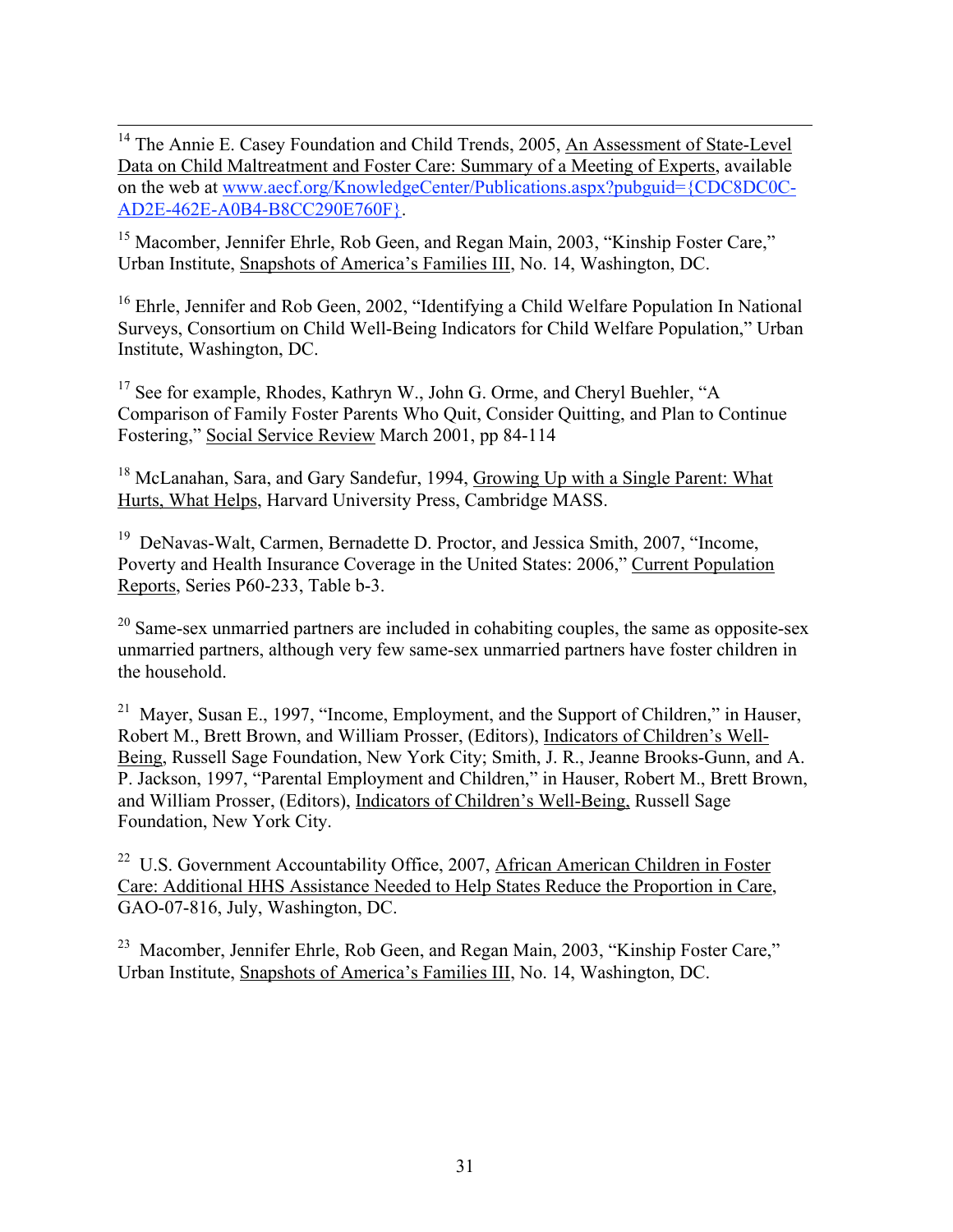<sup>14</sup> The Annie E. Casey Foundation and Child Trends, 2005, An Assessment of State-Level Data on Child Maltreatment and Foster Care: Summary of a Meeting of Experts, available on the web at www.aecf.org/KnowledgeCenter/Publications.aspx?pubguid={CDC8DC0C-AD2E-462E-A0B4-B8CC290E760F}.

<sup>15</sup> Macomber, Jennifer Ehrle, Rob Geen, and Regan Main, 2003, "Kinship Foster Care," Urban Institute, Snapshots of America's Families III, No. 14, Washington, DC.

<sup>16</sup> Ehrle, Jennifer and Rob Geen, 2002, "Identifying a Child Welfare Population In National Surveys, Consortium on Child Well-Being Indicators for Child Welfare Population," Urban Institute, Washington, DC.

<sup>17</sup> See for example, Rhodes, Kathryn W., John G. Orme, and Cheryl Buehler, "A Comparison of Family Foster Parents Who Quit, Consider Quitting, and Plan to Continue Fostering," Social Service Review March 2001, pp 84-114

<sup>18</sup> McLanahan, Sara, and Gary Sandefur, 1994, Growing Up with a Single Parent: What Hurts, What Helps, Harvard University Press, Cambridge MASS.

<sup>19</sup> DeNavas-Walt, Carmen, Bernadette D. Proctor, and Jessica Smith, 2007, "Income, Poverty and Health Insurance Coverage in the United States: 2006," Current Population Reports, Series P60-233, Table b-3.

 $20$  Same-sex unmarried partners are included in cohabiting couples, the same as opposite-sex unmarried partners, although very few same-sex unmarried partners have foster children in the household.

<sup>21</sup> Mayer, Susan E., 1997, "Income, Employment, and the Support of Children," in Hauser, Robert M., Brett Brown, and William Prosser, (Editors), Indicators of Children's Well-Being, Russell Sage Foundation, New York City; Smith, J. R., Jeanne Brooks-Gunn, and A. P. Jackson, 1997, "Parental Employment and Children," in Hauser, Robert M., Brett Brown, and William Prosser, (Editors), Indicators of Children's Well-Being, Russell Sage Foundation, New York City.

<sup>22</sup> U.S. Government Accountability Office, 2007, African American Children in Foster Care: Additional HHS Assistance Needed to Help States Reduce the Proportion in Care, GAO-07-816, July, Washington, DC.

<sup>23</sup> Macomber, Jennifer Ehrle, Rob Geen, and Regan Main, 2003, "Kinship Foster Care," Urban Institute, Snapshots of America's Families III, No. 14, Washington, DC.